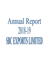# Annual Report 2018-19 SBC BXPORTS LIMITED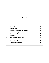# **CONTENTS**

| Sr. No. | <b>Particulars</b>                                 | Page No.       |
|---------|----------------------------------------------------|----------------|
|         |                                                    |                |
| 1.      | <b>Corporate Information</b>                       | $\mathbf{1}$   |
| 2.      | <b>Notice to Shareholders</b>                      | $\overline{2}$ |
| 3.      | <b>Director's Report</b>                           | 6              |
| 4.      | <b>Management Discussion &amp; Analysis Report</b> | 18             |
| 5.      | <b>Secretarial Audit Report</b>                    | 22             |
| 6.      | <b>Independent Auditors' Report</b>                | 25             |
| 7.      | <b>Balance Sheet</b>                               | 36             |
| 8.      | <b>Statement of Profit &amp; Loss Account</b>      | 37             |
| 9.      | <b>Cash Flow Statement</b>                         | 38             |
| 10.     | <b>Notes to Financial Statements</b>               | 39             |
| 11.     | <b>Attendance Slip &amp; Proxy Form</b>            | 50             |
|         |                                                    |                |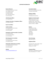# **CORPORATE INFORMATION**



Mrs. Deepika Gupta Company Secretaries Mr. Manish Gupta Mr. Akshat Gupta **Statutory Auditors** Mrs. Manupriya Mishra Mishrang Misher Misher Misher Misher Misher Misher Misher Misher Misher Misher Misher Misher Misher Misher Misher Misher Misher Misher Misher Misher Misher Misher Misher Misher Misher Misher Misher Mi Mr. Amit Jaiswal Chartered Accountants

**Company Secretary & Compliance Officer** Building, Opp. Vasant Oasis, Mr. Hariom Sharma Makwana Road, Marol, Andheri

# **Board Committees:**

**Audit Committee Bankers** Mr. Dheerendra Kumar Gupta State Bank of India Mr. Manish Gupta Punjab National Bank Mr. Amit Jaiswal Kotak Mahindra Bank

# **Nomination and Remuneration Committee Account LONG Bank**

Mr. Manish Gupta **HDFC Bank** Mr. Manupriya Mishra **ICICI Bank** Mr. Amit Jaiswal

# **Risk Management Committee Stock Exchange is a stock Exchange**

Mr. Amit Jaiswal Books and the SME Platform BSE SME Platform Mr. Dheerendra Kumar Gupta Mr. Manish Gupta **Registered Office** 

# **Stakeholders Relationship Committee House NO.-20, Lohiya Talab, Choti**

Mr. Dheerendra Kumar Gupta Basahi P.O.: Vindhyachal Mr. Manish Gupta Mirzapur UP 231307 Mr. Amit Jaiswal

**Website Corporate Office** 

**Board of Directors Secretarial Auditors in the Secretarial Auditors** Mr. Dheerendra Kumar Gupta Manus Mexican Music Music Music Manus Associates

# **Chief Financial Officer Chief Financial Officer Registrar & Transfer Agents**

Mr. Mukesh Bhatt Bigshare Services Pvt. Ltd 1st Floor, Bharat Tin Works (East), Mumbai – 400059

Yes Bank

www.sbcexportslimited.com 49/95 Site-IV Sahibabad Industrial Area Ghaziabad U P - 201010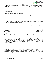

# **NOTICE**

**NOTICE** is hereby given that the 8th Annual General Meeting of the Members of **M/s SBC EXPORTS LIMITED** will be held at shorter notice on Monday the 30th day of September, 2019 at 1:00 p.m. at the Registered Office of the Company at House No.-20, Lohiya Talab, Choti Basahi P.O.: Vindhyachal, Mirzapur – 231307, Uttar Pradesh to transact the following business:

# **ORDINARY BUSINESS:**

# **ITEM NO.1 ADOPTION OF FINANCIAL STATEMENTS**

To consider and adopt the Audited Financial Statements of the Company for the financial year ended March 31, 2019, together with the Reports of the Board of Directors and the Auditors thereon.

# **ITEM NO.2 RE-APPOINTMENT OF MRS. DEEPIKA GUPTA AS DIRECTOR**

To Re-appoint a Director in place of Mrs. Deepika Gupta (**DIN 03319765**), who retires by rotation and, being eligible, offers himself for re-appointment.

# **For and on behalf of the Board For SBC EXPORTS LIMITED**

**Sd/- Date: 16.09.2019 Hariom Sharma Place: Mirzapur Company Secretary**

# **NOTES:**

**1)** A Member entitled to attend and vote is entitled to appoint a proxy to attend and vote on a poll, instead of him/her self and the proxy need not be a member. A person can act as proxy on behalf of members' up to and not exceeding fifty and holding in the aggregate not more than ten percent of the total share capital of the company. Further, a member holding more than ten percent of the total share capital of the company carrying voting rights may appoint a single person as proxy and such person shall not act as proxy for any other person or member. The instrument appointing proxy must be deposited at the registered office of the company not less than 48 hours before the time of holding the meeting.

**2)** Corporate members are requested to send a duly certified copy of the board resolution, pursuant to Section 113 of the Companies Act, 2013, authorising their representative to attend and vote on their behalf at the Meeting.

**3)** During the period beginning 24 hours before the time fixed for the commencement of the meeting and ending with the conclusion of the meeting, members would be entitled to inspect the proxies lodged, at any time during the business hours of the Company, provided not less than 3 days written notice is given to the Company.

**4)** Members/Proxies/Authorised Representatives should bring the duly filled Attendance Slips enclosed to attend the meeting.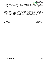

**5)** Annual Report for the financial year 2018-19 including notice of 8th AGM along with Attendance Slips and Proxy Forms are being sent on Email IDs of those members whose E-mail IDs are registered with the Depository Participant(s)/Company, unless a member has requested for a physical copy of the same. The Documents shall be sent through permitted mode to all members holding shares in physical mode.

**6)** Documents referred to in the notice and the explanatory statement shall be kept open for inspection by the members at the registered office of the Company on all working days (Monday to Saturday) from 10.00 a.m. to 01.00 p.m. except holidays, upto the date of the meeting. The Annual Report shall also be available on company's website i.e.-www.sbcexportslimited.com

> **For and on behalf of the Board For SBC EXPORTS LIMITED**

**Sd/- Date: 16.09.2019 Hariom Sharma Place: Mirzapur Company Secretary**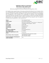

# **ANNEXURE TO ITEM NO 2 OF THE NOTICE BRIEF PROFILE OF MRS. DEEPIKA GUPTA**

(In pursuance of Regulation 36(3) of SEBI (Listing Obligations & Disclosure Requirements) Regulations, 2015)

Mrs. Deepika Gupta, aged 33 years, is Promoter and Whole-Time Director of our Company. She is M.A. Post graduate from Avadh University, Uttar Pradesh and has rich experience of more than a decade in the field of Operation Management. She is actively involved in day-to-day operations and management of the Company. She is responsible for allocation of job responsibilities among the personnel, liasoning with the commercial team to promote & develop operational opportunities and also look after health & safety of employees. She is also involved in product development and contributes with her creative ideas for new products. She is on Board of Company since incorporation i.e. 18th January, 2011.

| <b>Name</b>                                        | Mrs. Deepika Gupta                                                                             |
|----------------------------------------------------|------------------------------------------------------------------------------------------------|
| <b>Father's name</b>                               | Mr. Shyam Murari Gupta                                                                         |
| <b>Address</b>                                     | Plot No-317,2nd Floor-1, Gyan Khand-1, Indirapuram,<br>Ghaziabad Uttar Pradesh - 201014        |
| Date of Birth                                      | 29.09.1985                                                                                     |
| Occupation                                         | <b>Businesswoman</b>                                                                           |
| <b>PAN Number</b>                                  | <b>ASFPG0156J</b>                                                                              |
| <b>DIN</b>                                         | 03319765                                                                                       |
| <b>Academic Qualification</b>                      | Post Graduate (M.A.)                                                                           |
| No. of Shares Held                                 | 31,30,000                                                                                      |
| Date of first appointment on the<br><b>Board</b>   | 18/01/2011                                                                                     |
| <b>Directorship in other Companies</b>             | DIMENSIONS METALS PRIVATE LIMITED<br><b>SBC INFOTECH LIMITED</b><br><b>SBC FINMART LIMITED</b> |
| Chairman/Member of the Board of<br>other Committee | ΝO                                                                                             |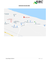

# **ROUTE MAP FOR AGM VENUE**

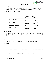

# **BOARDS' REPORT**

Dear Members,

Your Directors have pleasure in presenting this 8<sup>th</sup> Annual report on the affairs of the Company together with the Audited Statement of Accounts for the year ended on 31st March, 2019.

# **1. FINANCIAL SUMMARY (STANDALONE):-**

The Company's financial performance for the year under review along with previous year's figures is given hereunder:-

| <b>PARTICULARS</b>                 | 31.03.2019<br>$($ In Rs. $)$ | 31.03.2018<br>$($ ln Rs. $)$ |
|------------------------------------|------------------------------|------------------------------|
| Revenue from Operations            | 80,00,10,363/-               | 63.99.45.469/                |
| Other Income                       | 41,37,463/-                  | $21,50,351/-$                |
| <b>Total Revenue</b>               | 80,41,47,826/-               | 64,20,95,820/-               |
| Total Expenditure                  | 78,56,13,913/-               | 62,93,86,147/-               |
| <b>Profit/Loss before taxation</b> | 1,85,33,913/                 | 1,27,09,673/-                |
| <b>Less:</b> Tax Expenses          | 57.02.434/-                  | 45,93,529/-                  |
| Profit /loss for the year          | $1,33,49,591/-$              | 84,52,448/-                  |

# **2. OPERATIONS:-**

The Company has reported total revenue of  $\bar{\tau}$  80.00/- Crores for the current year against  $\bar{c}$  63.99/- Crores for the previous year. The Net profit for the year under review amounted to  $\bar{\mathcal{F}}$ 1.33/- crores in the current year as compared to Profit incurred in last year amounting to 84.52/- Lacs.

# **3. TRANSFER OF RESERVES:-**

An amount of  $\bar{\tau}$ 1.33 Crores of profit has been transferred to Reserve & Surplus Account.

# **4. DIVIDEND**

Although the Company had earned a good profits as compared to previous year but the Board of Directors of your company do not recommend any dividend on equity shares for the financial year under review rather they recommended reinvest the earnings in the business.

# **5. SUBSIDIARIES, JOINT VENTURES AND ASSOCIATE COMPANIES ALONG WITH THEIR PERFORMANCE AND FINANCIAL POSITION**

The Company does not have any Subsidiary, Joint venture or Associate Company.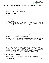

# **6. MATERIAL CHANGES AND COMMITMENTS AFFECTING FINANCIAL POSITION OF THE COMPANY:-**

There have been no other material changes and commitments except the listing of the securities of the Company on the **BSE SME Platform**, affecting the financial position of the Company which have occurred between the end of the financial year of the Company to which the financial statements relate and the date of the report.

# **7. CHANGE IN SHARE CAPITAL**

# **Authorised Share capital**

During Financial Year 2018-2019, the Company had increased its Authorised Capital from Rs. 10,00,000/- comprising of 1,00,000 equity shares of Rs. 10/- each to Rs. 11,10,00,000/- comprising of 1,10,00,000/-equity shares of Rs. 10/- each.

# **Paid up Share Capital**

During the year, the Company had increased its Paid up share Capital from Rs. 10,00,000/ comprising of 1,00,000 equity shares of Rs. 10/- each to Rs. 7,60,00,000/- comprising of 76,00,000/ equity shares of Rs. 10/- each by way of Right Issue of 75,00,000 Equity Shares.

# **Initial Public Offering (IPO)**

Further the Company had entered into the Capital Market with its Initial Public Offering (IPO) of 29,82,000 Equity Shares of a Face Value of Rs. 10/- each for cash at a price of Rs. 22/- per equity share (including a share premium of Rs. 12 per equity share) aggregating to Rs. 656.04 lakhs **("THE ISSUE).** 

The Issue opened for Subscription on 24<sup>th</sup> June, 2019 and closed on 26<sup>th</sup> June, 2019 in accordance with SEBI (Issue of Capital and Disclosure Requirements) Regulations, 2018. Your Directors are pleased to inform you that the IPO of the Company was successfully subscribed. The response of the investors was really very encouraging.

The Securities of the Company have been Listed and admitted to dealings on the **BSE SME Platform** of the Bombay Stock Exchange **(BSE)** w.e.f. 4th July, 2019 having the symbol of **"SBC"** 

# **At present the paid up share capital of your Company is Rs. 10,58,20,000/- dividing into 1,05,82,000 Equity Shares of Rs. 10 each.**

# **8. DEPOSITORY SYSTEM**

As the Members are aware, your Company's shares are tradeable compulsorily in electronic form and your Company has established connectivity with both National Securities Depository Limited (NSDL) and Central Depository Services (India) Limited (CDSL). In view of the numerous advantages offered by the depository system, the members are requested to avail the facility of Dematerialization of the Company's shares on NSDL & CDSL. The ISIN allotted to the Company's Equity shares is **INE04AK01010**.

# **9. CHANGE IN THE NATURE OF BUSINESS:-**

There is no change in the nature of the business of the company in the review period.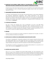

# **10. SIGNIFICANT AND MATERIAL ORDERS PASSED BY THE REGULATORS OR COURTS OR TRIBUNALS IMPACTING THE GOING CONCERN STATUS AND COMPANY'S OPERATIONS IN FUTURE:-**

During the year under review there has been no any such significant and material orders passed by the regulators or courts or tribunals impacting the going concern status and company's operations in future.

# **11.MANAGEMENT DISCUSSION AND ANALYSIS REPORT**

As required under Regulation 34 of Securities and Exchange Board of India (Listing Obligations and Disclosure Requirements) Regulations, 2015 ("Listing Regulations") and Circular/ Notifications/ Directions issued by Reserve Bank of India from time to time, the Management Discussion and Analysis of the financial condition and result of consolidated operations of the Company for the year under review is presented in a separate section forming part of the Annual Report as **Annexure-I.** 

# **12.CORPORATE GOVERNANCE**

We wish to inform the members that in term of Regulation 15 (2) (b) of the SEBI (Listing Obligations & Disclosure Requirements) Regulations, 2015, Corporate Governance is not applicable to our Company as we have listed our securities on the SME Exchange. However, your Company has been practicing the principles of good corporate governance as it is committed to maintain the highest standards of Corporate Governance.

# **13. DEPOSITS**

During the year, the Company has neither accepted any deposits from the public, nor does it have any scheme to invite any such deposits.

# **14. PARTICULARS OF CONTRACTS OR ARRANGEMENTS MADE WITH RELATED PARTIES**

All contracts / arrangements / transactions entered by the Company during the financial year with related parties were on an arm's length basis and in the ordinary course of business under the Companies Act 2013 and not material under the Listing Regulations and hence did not require members' prior approval under the Companies Act 2013 and the Listing Regulations.

The particulars of contracts or arrangements with related parties referred to in sub-section (1) of section 188 is attached as **Annexure-II** in the Form AOC-2.

# **15.AUDITORS AND AUDITORS' REPORT**

M/S. R. N. K. A. & Co., Chartered Accountants (FRN 021745N), who were appointed as the Statutory Auditors of the Company in the 4th Annual General Meeting of the Company held on 30th September, 2015 to hold their office from the conclusion of the 4th Annual General Meeting till the conclusion of 8th Annual General Meeting (up to the Financial Year ending 2018-19).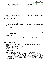

It may be noted that the current statutory auditor has completed his two consecutive terms and they are not eligible for re-appointment.

Accordingly, The Board is looking to appoint new Statutory Auditor of your Company, which shall hold office for five (5) years.

Further, the Auditors' Report and Notes to the Accounts referred to in the Auditors' Report are self-explanatory and therefore, does not call for any further comments and explanations.

The observations of the Statutory Auditors, when read together with the relevant notes to the accounts and accounting policies are self-explanatory and do not calls for any further comment.

# **16. SECRETARIAL AUDIT REPORT**

Pursuant to the provisions of Section 204 of Companies Act, 2013 and Companies (Appointment and Remuneration of Managerial Personnel Rules) 2014, Company had appointed **M/s. Kumar Mandal and Associates,** Company Secretaries in Practice to undertake the Secretarial Audit of the Company for the financial year 2018-19. The Secretarial Audit Report is attached as **Annexure-III**

# **17.BOARD MEETINGS**

During the year under review, the Board met 9 (Nine) Times on May 26, 2018, July 20, 2018, August 30, 2018, September 29, 2018, November 16, 2018, December 10, 2018, December 15, 2018, January 28, 2019 and March 11, 2019. The maximum interval between any two meetings did not exceed 120 days.

# **18. GENERAL MEETINGS**

During the year under review, there were 5 (Five) General Meetings held including Annual General Meeting on August 18, 2018, September 29, 2018, December 10, 2018, January 02, 2019 and March 11, 2019.

# **19.COMMITTEES OF BOARD**

There are four Committees constituted as per Companies Act, 2013, which are as follows;

- a) Audit Committee;
- b) Nomination and Remuneration Committee;
- c) Stakeholder's Relationship Committee.
- d) Risk Management Committee

# **A. Audit Committee**

The Board had constituted qualified Audit Committee pursuant to provision of Companies Act, 2013 as well as Regulation of SEBI (Listing Obligations and Disclosure Requirements) Regulations, 2015. The constitution of said Committee was approved by a meeting of the Board of Directors held on December 10, 2018. The Audit Committee confirms to extant SEBI (Listing Obligations and Disclosures Requirements) Regulations, 2015 in all respects concerning its constitution, meetings, functioning, role and powers, mandatory review of required information, approved

## Annual Report-2018-19 **9 | P** a g e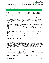

related party transaction & accounting treatment for major items. It also fulfils the requirements as set out in the Companies Act, 2013.

During the financial year the Committee met One (01) time; on December 10, 2018.

The Audit Committee comprises three directors, composition is as below:

| <b>Name of Director</b> | <b>Designation</b> | Nature of Directorship              |
|-------------------------|--------------------|-------------------------------------|
| Dheerendra Kumar Gupta  | Member             | <b>Managing Director- Executive</b> |
| Manish Gupta            | Chairman           | Independent Director-Non-Executive  |
| Amit Jaiswal            | Member             | Independent Director-Non-Executive  |

# **Role of the audit committee:**

- 1. Overseeing the Company's financial reporting process and the disclosure of its financial information to ensure that the financial statements are correct, sufficient and credible.
- 2. Recommending to the Board, the appointment, re-appointment and, if required, the replacement or removal of the statutory auditor and the fixation of audit fees.
- 3. Approval of payment to statutory auditors for any other services rendered by the statutory auditors.
- 4. Reviewing, with the management, the annual financial statements before submission to the board for approval, with particular reference to:

 a) Matters required being included in the Directors Responsibility Statement to be included in the Board's report in terms of clause (c) of sub section 3 of section 134 of the Companies Act, 2013.

b) Changes, if any, in accounting policies and practices and reasons for the same.

 c) Major accounting entries involving estimates based on the exercise of judgment by management.

- d) Significant adjustments made in the financial statements arising out of audit findings.
- e) Compliance with listing and other legal requirements relating to financial statements.
- f) Disclosure of any related party transactions.
- g) Modified opinion(s) in the audit report.
- 5. Reviewing, with the management, the half yearly and annual financial statements before submission to the board for approval.
- 6. Reviewing, with the management, the statement of uses / application of funds raised through an issue (public issue, rights issue, preferential issue, etc.), the statement of funds utilized for purposes other than those stated in the offer document/prospectus/notice and the report submitted by the monitoring agency monitoring the utilization of proceeds of a public or rights issue, and making appropriate recommendations to the Board to take up steps in this matter.
- 7. Reviewing and monitoring the auditor's independence and performance and effectiveness of audit process.
- 8. Reviewing the adequacy of internal audit function, if any, including the structure of the internal audit department, staffing and seniority of the official heading the department, reporting structure coverage and frequency of internal audit.
- 9. Discussion with internal auditors on any significant findings and follow up there on.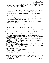

- 10. Reviewing the findings of any internal investigations by the internal auditors into matters where there is suspected fraud or irregularity or a failure of internal control systems of a material nature and reporting the matter to the board.
- 11. Discussion with statutory auditors before the audit commences, about the nature and scope of audit as well as post-audit discussion to ascertain any area of concern.
- 12. to look into the reasons for substantial defaults in the payment to the depositors, debenture holders, shareholders (in case of non-payment of declared dividends) and creditors.
- 13. To review the functioning of the Whistle Blower mechanism, in case the same is existing.
- 14. Approval of appointment of CFO (i.e., the whole-time Finance Director or any other person heading the finance function or discharging that function) after assessing the qualifications, experience & background, etc. of the candidate.
- 15. To overview the Vigil Mechanism of the Company and took appropriate actions in case of repeated frivolous complaints against any Director or Employee.
- 16. Reviewing, with the management, performance of statutory and internal auditors, adequacy of the internal control systems.
- 17. Scrutiny of inter-corporate loans and investments.
- 18. Valuation of Undertakings or assets of the company, wherever it is necessary.
- 19. Evaluation of internal financial controls and risk management systems.
- 20. Reviewing, with the management, performance of statutory and internal auditors, adequacy of the internal control systems.
- 21. Monitoring the end use of funds raised through public offers and related matters.

# **The Audit Committee shall mandatorily review the following information:-**

1. Management Discussion and Analysis of financial condition and results of operations.

2. Statement of significant related party transactions (as defined by the Audit Committee), submitted by management.

3. Management letters / letters of internal control weaknesses issued by the statutory auditors.

4. Internal audit reports relating to internal control weaknesses.

5. The appointment, removal and terms of remuneration of the chief internal auditor shall be subject to review by the audit committee.

6. Statement of deviations:

a) Half yearly statement of deviation(s) including report of monitoring agency, if applicable, submitted to stock exchange(s) in terms of Regulation 32(1).

b) Annual statement of funds utilized for purposes other than those stated in the offer document/prospectus/notice in terms of Regulation 32(7).

# **Powers of the Audit Committee:**

 $\Box$  Investigating any activity within its terms of reference;

- $\square$  Seeking information from any employee;
- □ Obtaining outside legal or other professional advice; and
- $\square$  Securing attendance of outsiders with relevant expertise, if it considers necessary.

# **B. Nomination and Remuneration Committee**

The nominated and remuneration policy is being formulated in compliance with section 178 of the Companies Act, 2013 and rules made there under and Regulations of SEBI (Listing Obligation and Disclosure Requirements) regulations 2015.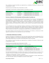

The constitution of said Committee was approved by a meeting of the Board of Directors held on December 10, 2018.

During the year Committee met on December 10, 2018.

Composition of Nomination and Remuneration Committee is as under;

| Name of Director | <b>Designation</b> | Nature of Directorship              |
|------------------|--------------------|-------------------------------------|
| Manish Gupta     | Member             | Independent Director-Non-Executive  |
| Manupriya Mishra | Chairperson        | Independent Director- Non-Executive |
| Amit Jaiswal     | Member             | Independent Director- Non-Executive |

# **The terms of reference of the Nomination and Remuneration Committee are:**

To recommend to the Board, the remuneration packages of the Company's Managing/Joint Managing/Deputy Managing/Whole time / Executive Directors, including all elements of remuneration package (i.e. salary, benefits, bonuses, perquisites, commission, incentives, stock options, pension, retirement benefits, details of fixed component and performance linked incentives along with the performance criteria, service contracts, notice period, severance fees etc.);

To be authorized at its duly constituted meeting to determine on behalf the Board of Directors and on b half of the shareholders with agreed terms of reference, the Company's policy on specific remuneration packages for Company's Managing/Joint Managing/ Deputy Managing/ Whole time/Executive Directors, including pension rights and any compensation payment;

Such other matters as may from time to time be required by any statutory, contractual or other regulatory requirements to be attended to by such committee.

# **C. Stakeholders Relationship Committee:**

Pursuant to Provisions of Companies Act, 2013 and rules made there under and Regulation 20 of SEBI (Listing Obligations and Disclosure Requirements) Regulation 2015; Company Constituted Shareholders Relationship Committee and Decided Role of said Committee.

The constitution of said Committee was approved by a meeting of the Board of Directors held on December 10, 2018.

During the year Committee met on December 10, 2018. Composition of Shareholders Relationship Committee is as under;

| <b>Name of Director</b> | <b>Designation</b> | <b>Nature of Directorship</b>      |
|-------------------------|--------------------|------------------------------------|
| Dheerendra Kumar Gupta  | Member             | <b>Managing Director-Executive</b> |
| Manish Gupta            | Member             | Independent Director-Non-Executive |
| Amit Jaiswal            | Chairman           | Independent Director-Non-Executive |

The Stakeholder Relationships Committee shall oversee all matters pertaining to investors of our Company. The terms of reference of the Investor Grievance Committee include the following:

Redressal of shareholders' /investors' complaints;

 Reviewing on a periodic basis the Approval of transfer or transmission of shares, debentures or any other securities made by the Registrar and Share Transfer Agent;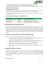

 $\Box$  Issue of duplicate certificates and new certificates on split/consolidation/renewal;

 $\Box$  Non-receipt of declared dividends, balance sheets of the Company; and

 Carrying out any other function as prescribed under the SEBI (Listing Obligation and Disclosure Requirements) Regulations, 2015.

# **D. Risk Management Committee:**

Pursuant to Provisions of Companies Act, 2013 and rules made there under, the Company Constituted a Risk Management Committee and Decided Role of said Committee.

The constitution of said Committee was approved by a meeting of the Board of Directors held on December 10, 2018.

During the year Committee met on December 10, 2018. Composition of Risk Management Committee is as under;

| Name of Director       | <b>Designation</b> | <b>Nature of Directorship</b>       |
|------------------------|--------------------|-------------------------------------|
| Dheerendra Kumar Gupta | Member             | <b>Managing Director- Executive</b> |
| Manish Gupta           | Member             | Independent Director- Non-Executive |
| Amit Jaiswal           | Chairman           | Independent Director-Non-Executive  |

# **20. SEPARATE MEETING OF INDEPENDENT DIRECTORS:**

Pursuant to code of Independent Directors under the Companies Act, 2013 and rules made there under, a separate meeting of the Independent Directors of the Company was held on March 20, 2019 to review the performance of Non-independent directors (including the Chairman) and the Board as a whole. The Independent directors also reviewed the quality, content and timeliness of the flow of information between the Management and the Board and its committees which is necessary to effectively and reasonably perform and discharge their duties.

# **21.CHANGES IN THE COMPOSITION OF THE BOARD OF DIRECTORS AND KMPs**

During the year under review following changes took place on the Board:

- Appointment of Mr. Hariom Sharma and Mr. Mukesh Bhatt as Company Secretary and Chief Financial Officer respectively w.e.f. 16<sup>th</sup> November, 2018.
- Appointment of Mr. Deepika Gupta as Whole Time Director and Mr. Dheerendra Kumar Gupta as Managing Director of the Company w.e.f. 10<sup>th</sup> December, 2018.
- Appointment of Mr. Akshat Gupta, Mr. Vinod Kumar, Mrs. Manupriya Mishra, Mr. Amit Jaiswal and Mr. Manish Gupta as Independent Directors of the Company.
- Cessation of Mr. Amit Kumar Agarwal and Mr. Parveen from the directorship w.e.f. 11<sup>th</sup> March, 2019.

# **22.RETIREMENT OF DIRECTOR BY ROTATION:**

Pursuant to the provisions of Section 152 of the Companies Act, 2013, Mrs. Deepika Gupta , (DIN: 03319765), Whole Time Director is liable to retire by rotation at the ensuing Annual General Meeting, and being eligible, he has offered himself for re-appointment. Accordingly, the proposal for his re-appointment has been included in the Notice convening the Annual General Meeting of the Company.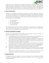

A brief resume of Mrs. Deepika Gupta seeking re-appointment is enclosed consisting nature of expertise in specific functional areas and name of companies in which they hold directorship and/or membership/ chairmanships of committees of the respective Boards, shareholding and relationship between directorship inter-se as stipulated under Reg. 36(3) of the SEBI (LODR) Regulations, 2015, are given in the section of notice of AGM forming part of the Annual Report.

# **23.BOARD'S INDEPENDENCE**

Definition of 'Independence' of Directors is in conformity with Section 149(6) of the Companies Act, 2013 and the requirements of Listing Regulations. Based on the confirmation / disclosures received from the Directors and on evaluation of the relationships disclosed, the following Non-Executive Directors are Independent in terms of Section 149(6) of the Companies Act, 2013 and the requirements of Listing Regulations :-

- 1. Mr. Akshat Gupta
- 2. Mr. Vinod Kumar
- 3. Mrs. Manupriya Mishra
- 4. Mr. Amit Jaiswal and
- 5. Mr. Manish Gupta

The independent directors have submitted the declaration of independence, as required under section 149(7) of the Companies Act, 2013, stating that they meet the criteria of independence as provided in section 149(6) of the Companies Act, 2013.

# **24. DIRECTORS' RESPONSIBILITY STATEMENT**

Pursuant to the requirements of Section 134(5) of the Companies Act, 2013, with respect to Directors' Responsibility Statement, it is hereby stated that:

- (a) in the preparation of the annual accounts, the applicable accounting standards had been followed along with proper explanation relating to material departures;
- (b) the Directors have selected such accounting policies and applied them consistently and made judgements and estimates that are reasonable and prudent so as to give a true and fair view of the state of affairs of the company at the end of the financial year and of the profit and loss of the company for that period;
- (c) the Directors have taken proper and sufficient care for the maintenance of adequate accounting records in accordance with the provisions of this Act for safeguarding the assets of the company and for preventing and detecting fraud and other irregularities;
- (d) the Directors have prepared the annual accounts on a going concern basis;
- (e) the Directors have laid down internal financial controls to be followed by the company and that such internal financial controls are adequate and were operating effectively; and
- (f) the Directors have devised proper systems to ensure compliance with the provisions of all applicable laws and that such systems were adequate and operating effectively.

# **25.BOARD EVALUATION**

The Board of Directors has carried out an annual evaluation of its own performance, board committees, and individual directors pursuant to the provisions of the Act and the corporate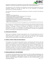

governance requirements as prescribed by the Securities and Exchange Board of India (Listing Obligations and Disclosure Requirements), Regulations 2015 ('SEBI Listing Regulations').

The performance of the committees was evaluated by the board after seeking inputs from the committee members on the basis of criteria such as the composition of committees, effectiveness of committee meetings, etc.

The evaluation framework for assessing the performance of Directors comprises of the following key areas:

- Expertise:
- Objectivity and Independence;
- Guidance and support in context of life stage of the Company;
- Understanding of the Company's business;
- Understanding and commitment to duties and responsibilities;
- Willingness to devote the time needed for effective contribution to Company;
- Participation in discussions in effective and constructive manner;
- Responsiveness in approach;
- Ability to encourage and motivate the Management for continued performance and success.

The evaluation involves Self-Evaluation by the Board Member and subsequent assessment by the Board of Directors. A member of the Board will not participate in the discussion of his/her evaluation. Accordingly, a process of evaluation was followed by the Board for its own performance and that of its Committees and individual Directors and also the necessary evaluation was carried out by Nomination and Remuneration Committee and Independent Director at their respective meetings held for the purpose.

# **26. PARTICULARS OF EMPLOYEES**

There were no employee in receipt of remuneration of Rs. 1.02 crores Rupees per annum if employed for whole of the year or Rs. 8.50 Lakhs per month, if employed for part of the year, whose particulars are required to be given under Rule 5(2) and (3) of the Companies (Appointment and Remuneration of Managerial Personnel) Rules 2014.

# **27.INTERNAL CONTROL SYSTEMS AND THEIR ADEQUACY**

The Company has an Internal Control System which is commensurate with the size, scale and complexity of its operations. To maintain its objectivity and independence, the Internal Audit reports to the Chairman of the Audit Committee of the Board and to the Managing Director. The Internal Audit Department reviews the effectiveness and efficiency of these systems and procedures to ensure that all assets are protected against loss and that the financial and operational information is accurate and complete in all respects. Company policies, guidelines and procedures provide for adequate checks and balances and are meant to ensure that all transactions are authorized, recorded and reported correctly.

# **28.WHISTLE BLOWER POLICY /VIGIL MECHANISM**

In compliance with the requirement of the Companies Act, 2013 and SEBI Listing Regulations, the Company has established a Whistle Blower Policy / Vigil Mechanism Policy that enables the Directors and Employees to report genuine concerns. The vigil mechanism provides for (a) adequate safeguards against victimization of persons who use the vigil mechanism; and (b)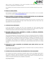

direct access to the Chairperson of the Audit Committee of the Board of Directors of the Company in appropriate or exceptional cases.

No complaint of this nature has been received by the Audit Committee during the year under review.

# **29. EXTRACT OF ANNUAL RETURN:-**

The Company is maintaining a website where the extract of Annual Return can be accessible. The Link of the website is **www.sbcexportslimited.com.** 

# **30. DETAILS IN RESPECT OF FRAUDS REPORTED BY AUDITORS UNDER SECTION 143 (12) OTHER THAN THOSE WHICH ARE REPORTABLE TO THE CENTRAL GEOVERNMENT:-**

 There were no frauds as reported by the Statutory Auditors under sub-section 12 of Section 143 of the Companies Act, 2013 along with Rules made there-under other than those which are reportable to the Central Government.

# **31.CORPORATE SOCIAL RESPONSIBILITY**

As per the provisions of section and 135 of the Companies Act, 2013 Corporate Social Responsibility (CSR) is not applicable to the Company during the year under review so there are no disclosures required under section134 (3)(o) of the Companies Act, 2013.

# **32. DISCLOSURE UNDER THE SEXUAL HARASSMENT OF WOMEN AT WORKPLACE (PREVENTION, PROHIBITION AND REDRESSAL) ACT, 2013**

The provisions/requirement of Sexual Harassment of Women at Workplace (Prevention, Prohibition & Redressal) Act, 2013 (Acts) and Rules made thereunder are being followed by the Company and the company is providing the proper environment of working to all employees and has proper internal control Mechanism for prevention, prohibition and redressal of sexual harassment at workplace. The Company has complied with the provisions of constitution of Internal Complaints Committee under the Act. There were no cases/complaints filed under this Act during the year.

# **33. PARTICULARS OF LOANS, GUARANTEES OR INVESTMENTS MADE UNDER SECTION 186 OF THE COMPANIES ACT, 2013**

The particulars of loans given or guarantees given or investments made or securities provided are given in notes to financial statements.

# **34. STATEMENT INDICATING DEVELOPMENT AND IMPLEMENTATION OF RISK MANAGEMENT**

The Company has in place a mechanism to identify, assess, monitor and mitigate various risks to Key business objectives. Major risks identified by the Board and systematically steps taken to mitigate on a continuous basis. The Company's internal control system is commensurate with the nature of its business and the size and complexity of operations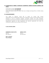

# **35.CONSERVATION OF ENERGY, TECHNOLOGY ABSORPTION, FOREIGN EXCHANGE EARNINGS AND OUTGO**

Conservation of energy: **Not applicable** Technology absorption: **Not applicable**

Foreign exchange earnings and outgo: There was no foreign exchange inflow or Outflow during the year.

# **36.ACKNOWLEDGEMENTS**

Your Board of Directors would like to place on record their sincere appreciation for the wholehearted support and contributions made by all the employees of the Company as well as customers, suppliers, consultants, bankers and other authorities. The Directors also thank the Central and State Government of India and concerned Government Departments/ Agencies for their cooperation. The directors appreciate and value the contributions made by every member of the company.

# **For SBC EXPORTS LIMITED**

**DHEERENDRA KUMAR GUPTA DEEPIKA GUPTA**  Director Director DIN: 03321016 DIN: 03319765

**Date: 16.09.2019 Place: Mirzapur**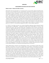

# **ANNEXURE-I**

# **MANAGEMENT DISCUSSION AND ANALYSIS REPORT**

# **Market context – Global and Indian economy**

2018 started with the expectation of a bumper growth of around 4% in global real GDP growth. However, by second half of the year, several factors collectively impacted the outlook and the year closed at about 3.6% growth. US-China trade tensions, weak macroeconomic situation in countries like Argentina and Turkey, auto sector issues in Germany and tighter monetary policy in China – all contributed to slowing of growth. Most of these factors are still playing out in the first part of 2019, though recovery is expected later in the year and expectations are that 2019 will clock 3.3% growth in global GDP. India closed fiscal year 2018-19 with a real GDP growth of 7.2% - highest in past 3 years. However, quarterly data indicates that the year started at 8%+ growth in Q1 and has seen growth rate slowing down in successive quarters with Q3 delivering only 6.6%. All eyes are on the election results at this point, which will give direction to the next phase of infrastructure spending, farm support and taxation policies. Jury is still out on the likely economic growth in FY 2019-20 – with estimates ranging from 6.8% to 7.5% by different agencies.

In FY 2018-19, the Indian economy saw several interesting milestones being achieved. Exports are estimated to hit \$330 billion – surpassing the earlier record of \$314 billion in FY 2013-14. GST collections hit rupees 1 lakh crore per month mark, consistently for many months in the later part of the year. Village electrification got completed in April 2018 and we are now nearing universal household electrification. The stock market ended the fiscal on a strong upward momentum towards historic highs. Rupee depreciated sharply in the beginning of the year, but recovered a portion of lost ground by end of March. Inflation remained low, largely aided by low food prices. Government set export targets for agricultural products for the first time in history. 2018 saw modest single digit growth in overall apparel and textile consumption globally. China continued to shed its market share, but India has been clearly missing the bus – most of the gains have been captured by Bangladesh and Vietnam – clearly the 2nd and 3rd largest exports after China, respectively. Bangladesh clearly accounts for over 6% of the global apparel exports while Indian exports continue to degrow for a second year in a row. Other than cotton yarn exports, most other categories – especially Indian apparel exports are clearly seeing de-growth. Early part of the year, the competitiveness was hampered by a strong rupee. While it got corrected as the year progressed, the lag effect and other factors, including mixed government support for T&A exports resulted in an overall lack-lustre performance of the sector.

Indian textile industry continues to be dominated by cotton, accounting for nearly 3/4th of the total fibre consumption in the country. Globally fibre consumption is dominated by manmade fibres having 70 per cent of share in total fibre consumption. Contrary to the global trend, fibre consumption in India is skewed towards natural fibres with around 65% share, especially cotton. Area under Cotton cultivation in India in 2018-19 remained almost the same as previous season at 122 lakh hectares. Cotton production in India is estimated at 330 +/- lakh bales of 170 kg each in 2018-19, down from 360+ lakh bales produced in 2017-18. Reduced production in 2018-19 is primarily due to weaker rainfall pattern compared to the previous year. In 2018-19, total supply of cotton including carry forward inventory from previous year and imports in the current year is likely to be 395 lakhs bales vis-à-vis 410 lakhs bales in 2017-18. Reduced supply in the current year has led to prices remaining firm in the India compared to other Cotton producing countries.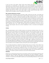

In fact for most of the season, Indian Cotton price traded well above the new MSP level, announced by Government of India based on the recommendation by Commission for Agricultural Costs & Prices (CACP). International Cotton prices remained volatile throughout the year mainly influenced by trade related developments between US and China. Such global volatility also imparted volatility to the Cotton prices in India. Considering the price disparity between India and rest of the world, India is likely to import around 30 lakh bales, which if realised will be the highest volume of imported Cotton by India.

# **SBC's business performance summary**

FY 2018-19 was a momentous year in the history of SBC. During this year, SBC's core textile and apparel business continued implementing its stated strategy of growing around four clear pillars – verticalization, innovation, advanced materials and B2C business growth. As a result, the proportion of fabrics that we sell as full vertical apparel solution increased and is poised to grow rapidly in the coming financial year. The company continued to introduce new innovative products, including knitted indigo dyed apparel – which promises to bring denim like aesthetic in the comfort of a knitwear apparel. On woven products side, the focus of innovation was around experimentation with new sustainable fibres, creative blends and significant reduction in use of dyes, chemicals and in turn, water. The B2C business was re-structured in this year and all channels were brought under one common leadership to drive a concerted and integrated strategy.

# **Outlook**

SBC will predominately consist of textile business and advanced material business. We aim to build the future of this business on four large pillars of growth. We will continue to grow our asset light garment business model. We are investing heavily on the garment business and it is expected to be a key part of our growth story. We are also focussing on new age, high performance fabrics which allows us an entry into a fast growing newer product segment. We are seeing new growth opportunities in advanced material division and the segment continues to grow at a rapid pace. And last but not the least we are working to build SBC as a retail brand that will help us capture the lucrative fabric retail market in the country. On the back of these four pillars, we are aiming to grow the business in double digits, a significant improvement over the mid-single digit growth registered in recent years. In our B2C business of brands and retail, we have been growing through a portfolio of strong international brands and speciality retail stores that has presence across multiple channels, price points and consumer segments.

We are rapidly expanding our distribution footprint further across our brands, which is likely to be a major growth driver in the future. Our speciality retail business is doing well and we are investing to grow this business at a significant pace in the current year. We aim to achieve annual growth of more than 40% for the next 3-4 years. As the revenue grows, we expect our EBITDA margins also to improve and achieve double digit margins over the same period. Overall we expect to maintain a positive momentum across all the three businesses.

# **Disclaimer**

Readers are cautioned that this discussion and analysis contains forward-looking statements that involve risks and uncertainties. When used in this discussion, the words "anticipate," "believe," "estimate," "intend," "will" and "expected" and other similar expressions as they relate to the Company or its business are intended to identify such forward-looking statements. The Company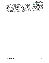

undertakes no obligation to publicly update or revise any forward-looking statements, whether as a result of new information, future events or otherwise. Actual results, performances or achievements, risks and opportunities could differ materially from those expressed or implied in these forward-looking statements. Readers are cautioned not to place undue reliance on these forward-looking statements as these are relevant at a particular point of time & adequate restrain should be applied in their use for any decision making or formation of an opinion. The following discussion and analysis should be read in conjunction with the Company's financial statements included herein and the notes thereto.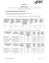

# **ANNEXURE-II**

# **FORM NO. AOC-2**

*(Pursuant to Clause (h) of sub section (3) of section 134 of the act and Rule 8/2 of the Companies Accounts Rules, 2014)* 

# **DETAILS REGARDING RELATED PARTY TRANSACTIONS**

AS PER THE PROVISIONS OF SECTON 188 OF THE COMPANIES ACT, 2013 FOR THE FINANCIAL YEAR ENDED 31ST MARCH 2019

**1.** Details of contracts or arrangements or transactions not at arm's length basis: **NIL** 

| Name(s) of the<br>related party<br>and nature of<br>relationship | Nature of<br>contracts/<br>arrangem<br>ent/transa<br>ctions | Duration of the<br>contracts /<br>arrangements<br>/transactions | Salient terms of<br>the contracts or<br>arrangements or<br>transactions<br>including the<br>value, if any: | Date(s) of<br>approval<br>by the<br>Board, if<br>any: | Amount<br>paid as<br>advances,<br>if any: | Date of<br><b>Special</b><br><b>Resolution</b><br>U/s188 |
|------------------------------------------------------------------|-------------------------------------------------------------|-----------------------------------------------------------------|------------------------------------------------------------------------------------------------------------|-------------------------------------------------------|-------------------------------------------|----------------------------------------------------------|
| N.A.                                                             | N.A.                                                        | N.A.                                                            | N.A.                                                                                                       | N.A.                                                  | N.A.                                      | N.A.                                                     |

# **2.** Details of material contracts or arrangement or transactions at arm's length basis:

| Name(s) of the related<br>party and nature of<br>relationship | Nature of<br>contracts/arrange<br>ment/transactions | Duration of the<br>contracts /<br>arrangements<br>/transactions | Salient terms of the<br>contracts or<br>arrangements or<br>transactions<br>including the value,<br>if any: | Date(s) of<br>approval<br>by the<br>Board, if<br>any: | Amount<br>paid as<br>advances, if<br>any:<br>(in Lacs) | Date of<br>Special<br>Resolutio<br>n u/s188 |
|---------------------------------------------------------------|-----------------------------------------------------|-----------------------------------------------------------------|------------------------------------------------------------------------------------------------------------|-------------------------------------------------------|--------------------------------------------------------|---------------------------------------------|
| Deepika Gupta                                                 | Equity Contribution                                 | N.A.                                                            | N.A.                                                                                                       | N.A.                                                  | 372.00.                                                | N.A.                                        |
| Mr. D. K. Gupta                                               | Equity Contribution                                 | N.A.                                                            | N.A.                                                                                                       | 29.09.2018                                            | 377.00                                                 | N.A.                                        |
| Mr. Amit Kumar Agrawal                                        | Equity Contribution                                 | N.A.                                                            | N.A.                                                                                                       | 29.09.2018                                            | 50.00                                                  | N.A.                                        |
| Mr. Govindji Gupta                                            | Equity Contribution                                 | N.A.                                                            | N.A.                                                                                                       | 29.09.2018                                            | 100.00                                                 | N.A.                                        |
| SBC Finmart Ltd.                                              | Equity Contribution                                 | N.A.                                                            | N.A.                                                                                                       | 29.09.2018                                            | 100.00                                                 | N.A.                                        |

| Name(s) of the related<br>party and nature of<br>relationship | Nature of<br>contracts/arrange<br>ment/transactions | Duration of the<br>contracts /<br>arrangements<br>/transactions | Salient terms of the<br>contracts or<br>arrangements or<br>transactions<br>including the value,<br>if any: | Date(s) of<br>approval<br>by the<br>Board, if<br>any: | Amount<br>paid as<br>advances, if<br>any:<br>(in Lacs) | Date of<br>Special<br>Resolutio<br>n u/s188 |
|---------------------------------------------------------------|-----------------------------------------------------|-----------------------------------------------------------------|------------------------------------------------------------------------------------------------------------|-------------------------------------------------------|--------------------------------------------------------|---------------------------------------------|
| Deepika Gupta                                                 | Remuneration                                        | N.A.                                                            | N.A.                                                                                                       | 10.12.2018.                                           | 9.96                                                   | N.A.                                        |
| Mr. D. K. Gupta                                               | Remuneration                                        | N.A.                                                            | N.A.                                                                                                       | 10.12.2018                                            | 6.60                                                   | N.A.                                        |
| Mr. Amit Kumar Agrawal                                        | Remuneration                                        | N.A.                                                            | N.A.                                                                                                       | N.A.                                                  | 9.12                                                   | N.A.                                        |
| Mr. Praveen                                                   | Remuneration                                        | N.A.                                                            | N.A.                                                                                                       | N.A.                                                  | 6.43                                                   | N.A.                                        |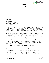

# **ANNEXURE-II**

# **Form No. MR-3 SECRETARIAL AUDIT REPORT**

# FOR THE FINANCIAL YEAR ENDED 31st March, 2019

# [Pursuant to section 204(1) of the Companies Act, 2013 and rule No. 9 of the Companies (Appointment and Remuneration Personnel) Rules, 2014]

To,

**The Members,** 

# **SBC EXPORTS LIMITED**

House No.-20, Lohiya Talab, Choti Basahi P.O.: Vindhyachal, Mirzapur, UP-231307

We have conducted the secretarial audit of the compliance of applicable statutory provisions and the adherence to good corporate practices by **SBC EXPORTS LIMITED** (hereinafter called the company). Secretarial Audit was conducted in a manner that provided us a reasonable basis for evaluating the corporate conducts/statutory compliances and expressing my Opinion thereon.

Based on our verification of the **Company's** books, papers, minute books, forms and returns filed and other records maintained by the company and also the information provided by the Company, its officers, agents and authorized representatives during the conduct of secretarial audit, We hereby report that in our opinion, the company has, during the audit period covering the financial year ended on **31st March, 2019**, complied with the statutory provisions listed hereunder and also that the Company has proper Board-processes and compliancemechanism in place to the extent, in the manner and subject to the reporting made hereinafter:

We have examined the books, papers, minute books, forms and returns filed and other records maintained by **SBC EXPORTS LIMITED** ("The Company") for the financial year ended on **31st March, 2019** according to the provisions of:

- (i) The Companies Act, 2013 (the Act) and the rules made there under;
- (ii) The Securities Contracts (Regulation) Act, 1956 ('SCRA') and the rules made there under;
- (iii) The Depositories Act, 1996 and the Regulations and Bye-laws Framed there under;
- (iv) Foreign Exchange Management Act, 1999 and the rules and regulations made thereunder to extent of Foreign Direct Investment, Overseas Direct Investment and External Commercial borrowings.
- (v) The following Regulations and Guidelines prescribed under the Securities and Exchange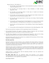

Board of India Act, 1992 ('SEBI Act'):-

- 1. The Securities and Exchange Board of India (Substantial Acquisition of Shares and Takeovers) Regulations, 2011;
- 2. The Securities and Exchange Board of India (Prohibition of Insider Trading) Regulations, 1992;
- 3. The Securities and Exchange Board of India (Issue of Capital and Disclosure Requirements) Regulations, 2009;
- 4. The Securities and Exchange Board of India (Employee Stock Option Scheme and Employee Stock Purchase Scheme) Guidelines, 1999;
- 5. The Securities and Exchange Board of India (Issue and Listing of Debt Securities) Regulations, 2008;
- 6. The Securities and Exchange Board of India (Registrars to an Issue and Share Transfer Agents) Regulations, 1993 regarding the Companies Act and dealing with client;
- 7. The Securities and Exchange Board of India (Delisting of Equity Shares) Regulations, 2009; and
- 8. The Securities and Exchange Board of India (Buyback of Securities) Regulations, 1998;

We have also examined compliance with the applicable clauses of the following:

- 1. The Secretarial Standards with regard to Meeting of Board of Directors (SS-I) and General Meetings (SS-II) issued by The Institute of Company Secretaries of India.
- 2. The SEBI (Listing Obligations and Disclosure Requirements) Regulations, 2015 and the Listing Agreements entered into by the Company with Bombay Stock Exchange Limited.

During the period under review the Company has complied with the provisions of the Act, Rules, Regulations, Guidelines, Standards, etc..

# **We further report that:**

The Board of Directors of the Company is duly constituted with proper balance of Executive Directors, Non-Executive Directors and Independent Directors. The changes in the composition of the Board of Directors that took place during the period under review were carried out in compliance with the provisions of the Act.

Adequate notice is given to all directors to schedule the Board Meetings, agenda and detailed notes on agenda were sent at least seven days in advance, and a system exists for seeking and obtaining further information and clarifications on the agenda items before the meeting and for meaningful participation at the meeting.

Majority decision is carried through while the dissenting members' views are captured and recorded as part of the minutes.

**We further report that** there are adequate systems and processes in the company commensurate with the size and operations of the company to monitor and ensure compliance with applicable laws, rules, regulations and guidelines.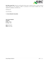

We further report that during the audit period there were no specific events / actions having a major bearing on the company's affairs in pursuance of the above referred laws, rules, regulations, guidelines, standards, etc.

Thanking you,

Yours Sincerely,

For **Kumar Mandal & Associates** 

**Asim Kumar Mandal Proprietor M. No.:** A46621 **C. P. No.** 17039

**Date:** 05.09.2019 **Place:** New Delhi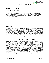

# **INDEPENDENT AUDITORS' REPORT**

**TO,** 

# **THE MEMBERS OF SBC EXPORTS LIMITED**

# **Report on the Financial Statements**

We have audited the accompanying financial statements of **SBC EXPORTS LIMITED**, which comprise the Balance Sheet as at **31/03/2019**, the Statement of Profit and Loss, Cash flow Statement for the year then ended, and a summary of the significant accounting policies and other explanatory information.

# **Auditor's Opinion**

In our opinion and to the best of our information and according to the explanations given to us, the aforesaid financial statements give the information required by the Act in the manner so required and give a true and fair view in conformity with the accounting principles generally accepted in India, of the state of affairs of the Company as at **31/03/2019**, and its **Profit** for the year ended on that date.

# **Basis for Opinion**

We conducted our audit in accordance with the Standards on Auditing (SAs) specified under section 143(10) of the Companies Act, 2013. Our responsibilities under those Standards are further described in the Auditor's Responsibilities for the Audit of the Financial Statements section of our report. We are independent of the Company in accordance with the Code of Ethics issued by the Institute of Chartered Accountants of India together with the ethical requirements that are relevant to our audit of the financial statements under the provisions of the Companies Act, 2013 and the Rules there under, and we have fulfilled our other ethical responsibilities in accordance with these requirements and the Code of Ethics. We believe that the audit evidence we have obtained is sufficient and appropriate to provide a basis for our opinion.

# **Responsibility of Management and Those Charged with Governance (TCWG)**

The Company's Board of Directors is responsible for the matters stated in Section 134(5) of the Companies Act, 2013 ("the Act") with respect to the preparation of these financial statements that give a true and fair view of the financial position , financial performance and cash flows of the Company in accordance with the accounting principles generally accepted in India, including the Accounting Standards specified under Section 133 of the Act, read with Rule 7 of the Companies (Accounts) Rules, 2014. This responsibility also includes maintenance of adequate accounting records in accordance with the provisions of the Act for safeguarding of the assets of the Company and for preventing and detecting frauds and other irregularities; selection and application of appropriate accounting policies; making judgments and estimates that are reasonable and prudent; and design, implementation and maintenance of adequate internal financial controls, that were operating effectively for ensuring the accuracy and completeness of the accounting records, relevant to the preparation and presentation of the financial statements that give a true and fair view and are free from material misstatement, whether due to fraud or error.

In preparing the financial statements, management is responsible for assessing the Company's ability to continue as a going concern, disclosing, as applicable, matters related to going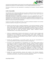

concern and using the going concern basis of accounting unless management either intends to liquidate the Company or to cease operations, or has no realistic alternative but to do so.

The Board of Directors are also responsible for overseeing the Company's financial reporting process.

# **Auditor's Responsibility**

Our objectives are to obtain reasonable assurance about whether the financial statements as a whole are free from material misstatement, whether due to fraud or error, and to issue an auditor's report that includes our opinion.

Reasonable assurance is a high level of assurance, but is not a guarantee that an audit conducted in accordance with SAs will always detect a material misstatement when it exists. Misstatements can arise from fraud or error and are considered material if, individually or in the aggregate, they could reasonably be expected to influence the economic decisions of users taken on the basis of these financial statements.

As part of an audit in accordance with SAs, we exercise professional judgment and maintain professional skepticism throughout the audit. We also:

- Identify and assess the risks of material misstatement of the financial statements, whether due to fraud or error, design and perform audit procedures responsive to those risks, and obtain audit evidence that is sufficient and appropriate to provide a basis for our opinion. The risk of not detecting a material misstatement resulting from fraud is higher than for one resulting from error, as fraud may involve collusion, forgery, intentional omissions, misrepresentations, or the override of internal control.
- Obtain an understanding of internal control relevant to the audit in order to design audit procedures that are appropriate in the circumstances. Under section 143(3)(i) of the Companies Act, 2013, we are also responsible for expressing our opinion on whether the company has adequate internal financial controls system in place and the operating effectiveness of such controls.
- Evaluate the appropriateness of accounting policies used and the reasonableness of accounting estimates and related disclosures made by management.
- Conclude on the appropriateness of management's use of the going concern basis of accounting and, based on the audit evidence obtained, whether a material uncertainty exists related to events or conditions that may cast significant doubt on the Company's ability to continue as a going concern. If we conclude that a material uncertainty exists, we are required to draw attention in our auditor's report to the related disclosures in the financial statements or, if such disclosures are inadequate, to modify our opinion. Our conclusions are based on the audit evidence obtained up to the date of our auditor's report. However, future events or conditions may cause the Company to cease to continue as a going concern.
- Evaluate the overall presentation, structure and content of the financial statements, including the disclosures, and whether the financial statements represent the underlying transactions and events in a manner that achieves fair presentation.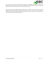

We communicate with those charged with governance regarding, among other matters, the planned scope and timing of the audit and significant audit findings, including any significant deficiencies in internal control that we identify during our audit.

We also provide those charged with governance with a statement that we have complied with relevant ethical requirements regarding independence, and to communicate with them all relationships and other matters that may reasonably be thought to bear on our independence, and where applicable, related safeguards.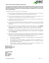

# **Report on Other Legal and Regulatory Requirements**

**As required by the Companies (Auditors' Report) Order,2016("the Order") issued by the Central Government of India in terms of sub section (11) of section 143 of the Companies Act, 2013. We give in the Annexure A statements on the matters specified in paragraphs 3 and 4 of the order, to the extent applicable.**

As required by Section 143 (3) of the Act, we report that:

- (a) We have sought and obtained all the information and explanations which to the best of our knowledge and belief were necessary for the purposes of our audit.
- (b) In our opinion, proper books of account as required by law have been kept by the Company so far as it appears from our examination of those books.
- (c) The Balance Sheet, the Statement of Profit and Loss, and dealt with by this Report are in agreement with the books of account.
- (d) In our opinion, the aforesaid financial statements comply with the Accounting Standards specified under Section 133 of the Act, read with Rule 7 of the Companies (Accounts) Rules, 2014.
- (e) On the basis of the written representations received from the directors as on **31/03/2019** taken on record by the Board of Directors, none of the directors is disqualified as **31/03/2019** from being appointed as a director in terms of Section 164 (2) of the Act.
- (f) With respect to the adequacy of the internal financial controls over financial reporting of the Company and the operating effectiveness of such controls, refer to our separate report in "**Annexure B**".
- (g) With respect to the other matters to be included in the Auditor's Report in accordance with Rule 11 of the Companies (Audit and Auditors) Rules, 2014, in our opinion and to the best of our information and according to the explanations given to us:
- i. The Company has disclosed the impact of pending litigations on its financial position in its financial statements.
- ii. The Company has made provision, as required under the applicable law or accounting standards, for material foreseeable losses, if any, on long-term contracts including derivative contracts.
- iii. There has been no delay in transferring amounts, required to be transferred, to the Investor Education and Protection Fund by the Company.

**FOR R N K A & CO. (Chartered Accountants) Reg No. :021745N**

**CA RAJESH KUMAR Partner M.No. : 506726 Date: 25/09/2019 Place: Delhi**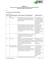

# **ANNEXURE – A Reports under the Companies (Auditor's Report) Order, 2016 (CARO 2016) for the year ended on 31st March 2019**

To,

# **The Members of SBC EXPORTS LIMITED**

We report that:-

| SI. No. | <b>Comment Required</b><br>on                | <b>Auditor's Opinion on Following Matter</b>                                                                                                                                                                                                                                      | <b>Auditor's Remark</b>                                                                                                                                                                                 |
|---------|----------------------------------------------|-----------------------------------------------------------------------------------------------------------------------------------------------------------------------------------------------------------------------------------------------------------------------------------|---------------------------------------------------------------------------------------------------------------------------------------------------------------------------------------------------------|
| (i)     | <b>Fixed Assets</b>                          | a) Whether the company is maintaining<br>proper records showing full particulars,<br>including quantitative details and situation<br>of fixed assets?                                                                                                                             | The company has<br>maintained proper<br>records showing full<br>particulars including<br>quantitative details<br>and situation of<br>fixed assets.                                                      |
|         |                                              | b) Whether these fixed assets have been<br>physically verified by the management at<br>reasonable intervels; whether any material<br>discrepancies were noticed on such<br>verification and if so, whether the same<br>have been properly dealt with in the books<br>of accounts? | Fixed assets have<br>been physically<br>verified by the<br>management at<br>reasonable intervals;<br>No material<br>discrepancies were<br>noticed on such<br>verification.                              |
|         |                                              | c) Whether the title deeds of immovable<br>properties are held in the name of the<br>company? If not, provide the details<br>thereof.                                                                                                                                             | <b>YES</b>                                                                                                                                                                                              |
| (ii)    | Inventory                                    | Whether physical verification of inventory<br>has been conducted at reasonable<br>intervals by the management and whether<br>any material discrepancies were noticed<br>and if so, whether they have been<br>properly dealt with in the books of<br>account?                      | Physical verification<br>of inventory has<br>been conducted at<br>reasonable intervals<br>by the<br>management.                                                                                         |
| (iii)   | Loans Secured or<br><b>Unsecured Granted</b> | Whether the company has granted any<br>loans, secured or unsecured to<br>companies, firms, Limited Liability<br>partnerships or other parties covered in the<br>register maintained under section 189 of<br>The Companies Act, 2013? if so,                                       | The company has<br>not granted any<br>loans, secured or<br>unsecured to<br>companies, firms or<br>other parties<br>covered in the<br>register maintained<br>$U/s$ 189 of the<br>companies Act-<br>2013. |
|         |                                              | a) Whether the terms and conditions of the                                                                                                                                                                                                                                        |                                                                                                                                                                                                         |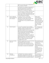

|       |                                                      | grant of such loans are not prejudicial to<br>the company's interest?                                                                                                                                                                                                                                                                                                                                                                                                                                                                                                             |                                                                                                                                                                                                                                                          |
|-------|------------------------------------------------------|-----------------------------------------------------------------------------------------------------------------------------------------------------------------------------------------------------------------------------------------------------------------------------------------------------------------------------------------------------------------------------------------------------------------------------------------------------------------------------------------------------------------------------------------------------------------------------------|----------------------------------------------------------------------------------------------------------------------------------------------------------------------------------------------------------------------------------------------------------|
|       |                                                      | b) Whether the schedule of repayment of<br>principal and payment of interest has<br>been stipulated and whether the<br>repayments or receipts are regular?                                                                                                                                                                                                                                                                                                                                                                                                                        |                                                                                                                                                                                                                                                          |
|       |                                                      | c) If the amount is overdue, state the total<br>amount overdue for more than ninety<br>days, and whether reasonable steps have<br>been taken by the company for recovery<br>of the principal and interest?                                                                                                                                                                                                                                                                                                                                                                        |                                                                                                                                                                                                                                                          |
| (iv)  | Loan to director<br>and investment by<br>the company | In respect of loans, investments,<br>guarantees, and security whether<br>provisions of section 185 and 186 of the<br>Companies Act, 2013 have been<br>complied with. If not, provide the details<br>thereof.                                                                                                                                                                                                                                                                                                                                                                      | While doing<br>transaction for<br>loans, investments,<br>guarantees, and<br>security provisions of<br>section 185 and 186<br>of the Companies<br>Act, 2013 have<br>been complied<br>with.                                                                |
| (v)   | <b>Public Deposits</b>                               | In case, the company has accepted<br>deposits, whether the directives Issued by<br>the Reserve Bank of India and the<br>provisions of sections 73 to 76 or any other<br>relevant provisions of the Companies Act,<br>2013 and the rules framed thereunder,<br>where applicable, have been complied<br>with? If not, the nature of such<br>contraventions be stated; If an order has<br>been passed by Company Law Board or<br>National Company Law Tribunal or Reserve<br>Bank of India or any court or any other<br>tribunal, whether the same has been<br>complied with or not? | The company has<br>not accepted any<br>Deposits.                                                                                                                                                                                                         |
| (vi)  | Cost Accounting<br>Records                           | Whether maintenance of cost records has<br>been specified by the Central<br>Government under sub-section (1) of<br>section 148 of the Companies Act, 2013<br>and whether such accounts and records<br>have been so made and maintained?                                                                                                                                                                                                                                                                                                                                           | The Company is not<br>required to maintain<br>cost records<br>pursuant to the<br>Rules made by the<br><b>Central Govenment</b><br>for the<br>maintenance of<br>cost records under<br>sub-section (1) of<br>section 148 of the<br>Companies Act,<br>2013. |
| (vii) | Statutory<br>Compliance                              | a) Whether the company is regular in<br>depositing undisputed statutory dues<br>including provident fund, employees' state<br>insurance, income tax, sales-tax, service                                                                                                                                                                                                                                                                                                                                                                                                           | The company is<br>regular in depositing<br>the undisputed<br>statutory dues                                                                                                                                                                              |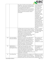

|        |                                                         | tax, duty of customs, duty of excise, value<br>added tax, cess and any other statutory<br>dues to the appropriate authorities and if<br>not, the extent of the arrears of<br>outstanding statutory dues as on the last<br>day of the financial year concerned for a<br>period of more than six months from the<br>date they became payable, shall be<br>indicated?    | including provident<br>fund, employees'<br>state insurance,<br>income tax, sales,<br>tax wealth tax,<br>service tax, custom<br>duty, excise duty.<br>Cess and other<br>statutory dues<br>applicable to the<br>Company with the<br>appropriate<br>authorities. No<br>undisputed amounts<br>payable in respect<br>of the aforesaid<br>statutory dues were<br>outstanding as at<br>the last day of the<br>financial year for a<br>period of more than<br>six months from the<br>date they became<br>payable. |
|--------|---------------------------------------------------------|-----------------------------------------------------------------------------------------------------------------------------------------------------------------------------------------------------------------------------------------------------------------------------------------------------------------------------------------------------------------------|-----------------------------------------------------------------------------------------------------------------------------------------------------------------------------------------------------------------------------------------------------------------------------------------------------------------------------------------------------------------------------------------------------------------------------------------------------------------------------------------------------------|
|        |                                                         | b) Where dues of income tax or sales tax<br>or service tax or duty of customs or duty of<br>excise or value added tax have not been<br>deposited on account of any dispute, then<br>the amounts involved and the forum<br>where dispute is pending shall be<br>mentioned. (A mere representation to the<br>concerned Department shall not be<br>treated as a dispute) | There is no dispute<br>with the revenue<br>auhorities regarding<br>any duty or tax<br>payable.                                                                                                                                                                                                                                                                                                                                                                                                            |
| (viii) | Loan from Banks/<br>Financial Institution               | Whether the company has defaulted in<br>repayment of loans or borrowing to a<br>financial institution, bank, government or<br>dues to debenture holders? If yes, the<br>period and the amount of default to be<br>reported (in case of defaults to banks,<br>financial institutions, and government,<br>lender wise details to be provided)                           | The company has<br>not defaulted in<br>repayment of dues<br>to financial<br>institution, or a bank.                                                                                                                                                                                                                                                                                                                                                                                                       |
| (ix)   | Application of<br>Money Received<br>from Equity or Loan | Whether moneys raised by way of initial<br>public offer or further public offer<br>{including debt instruments) and term<br>loans were applied for the purposes for<br>which those are raised. If not, the details<br>together with delays or default and<br>subsequent rectification? if any, as may be<br>applicable, be reported.                                  | The Company has<br>not applied term<br>loans for the<br>purposes other than<br>for which those are<br>raised                                                                                                                                                                                                                                                                                                                                                                                              |
| (x)    | Fraud Reporting                                         | Whether any fraud by the company or any<br>fraud on the Company by its officers or<br>employees has been noticed or reported<br>during the year? If yes, the nature and the                                                                                                                                                                                           | Based on our audit<br>procedures and the<br>information and<br>explanation made                                                                                                                                                                                                                                                                                                                                                                                                                           |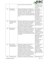

|                   |                                                       | amount involved is to be indicated;                                                                                                                                                                                                                                                                                                                                                                                                                                                         | available to us no<br>such fraud noticed<br>or reported during<br>the year.                                                                                                                                                                                                                              |
|-------------------|-------------------------------------------------------|---------------------------------------------------------------------------------------------------------------------------------------------------------------------------------------------------------------------------------------------------------------------------------------------------------------------------------------------------------------------------------------------------------------------------------------------------------------------------------------------|----------------------------------------------------------------------------------------------------------------------------------------------------------------------------------------------------------------------------------------------------------------------------------------------------------|
| (x <sub>i</sub> ) | Managerial<br>Remuneration                            | whether managerial remuneration has<br>been paid or provided in accordance with<br>the requisite approvals mandated by the<br>provisions of section 197 read with<br>Schedule V to the Companies Act? If not,<br>state the amount involved and steps taken<br>by the company for securing refund of the<br>same.                                                                                                                                                                            | Managerial<br>remuneration has<br>been paid or<br>provided in<br>accordance with<br>the requisite<br>approvals<br>mandated by the<br>provisions of section<br>197 read with<br>Schedule V to the<br>Companies Act.                                                                                       |
| (xii)             | Nidhi Company -<br>Compliance with<br>Deposits        | Whether the Nidhi Company has complied<br>with the Net Owned Funds to Deposits in<br>the ratio of 1:20 to meet out the liability<br>and whether the Nidhi Company is<br>maintaining ten per cent unencumbered<br>term deposits as specified in the Nidhi<br>Rules, 2014 to meet out the liability?                                                                                                                                                                                          | As per information<br>and records<br>available with us<br>The company is not<br>Nidhi Company.                                                                                                                                                                                                           |
| (xiii)            | <b>Related Party</b><br><b>Transactions</b>           | Whether all transactions with the related<br>parties are in compliance with section 177<br>and 188 of Companies Act, 2013 where<br>applicable and the details have been<br>disclosed in the Financial Statements etc.,<br>as required by the applicable accounting<br>standards?                                                                                                                                                                                                            | Yes, All transactions<br>with the related<br>parties are in<br>compliance with<br>section 177 and 188<br>of Companies Act,<br>2013 where<br>applicable and the<br>details have been<br>disclosed in the<br>Financial<br>Statements etc., as<br>required by the<br>applicable<br>accounting<br>standards. |
| (xiv)             | Issue of Share<br>Capital and use of<br>Amount Raised | Whether the company has made any<br>preferential allotment or private<br>placement of shares or fully or partly<br>convertible debentures during the year<br>under review and if so, as to whether the<br>requirement of section 42 of the<br>Companies Act, 2013 have been<br>complied with and the amount raised<br>have been used for the purposes for which<br>the funds were raised. If not, provide the<br>details in respect of the amount involved<br>and nature of non-compliance? | No Company has<br>not made any<br>preferential<br>allotment or private<br>placement of<br>Shares or fully or<br>partly convertible<br>debenture during<br>Financial Year 2018-<br>19.                                                                                                                    |
| (xv)              | Transaction with                                      | Whether the company has entered into                                                                                                                                                                                                                                                                                                                                                                                                                                                        | The company has                                                                                                                                                                                                                                                                                          |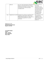

|       | <b>Director</b>       | any non-cash transactions with directors or<br>persons connected with him and if so,<br>whether the provisions of section 192 of<br>Companies Act, 2013 have been<br>complied with? | entered into any<br>non-cash<br>transactions with<br>directors or persons<br>connected with him<br>and the provisions<br>of section 192 of<br>Companies Act,<br>2013 have been<br>complied with. |
|-------|-----------------------|-------------------------------------------------------------------------------------------------------------------------------------------------------------------------------------|--------------------------------------------------------------------------------------------------------------------------------------------------------------------------------------------------|
| (xvi) | Registration from RBI | Whether the company is required to be<br>registered under section 45-IA of the<br>Reserve Bank of India Act, 1934 and if so,<br>whether the registration has been<br>obtained?      | The company is not<br>required to be<br>registered under<br>section 45-IA of the<br>Reserve Bank of<br>India Act.                                                                                |

**FOR R N K A & CO. (Chartered Accountants) Reg No. :021745N**

**CA RAJESH KUMAR Partner M.No. : 506726 Date: 25/09/2019 Place: Delhi**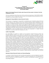

# **"Annexure B" To the Independent Auditor's Report of even date on the Standalone Financial Statements of SBC EXPORTS LIMITED.**

# **Report on the Internal Financial Controls under Clause (i) of Sub-section 3 of Section 143 of the Companies Act, 2013.**

We have audited the internal financial controls over financial reporting of SBC EXPORTS LIMITED as of March 31, 2019 in conjunction with our audit of the standalone financial statements of the Company for the year ended on that date.

# **Management's Responsibility for Internal Financial Controls**

The Company's management is responsible for establishing and maintaining internal financial controls based on the internal control over financial reporting criteria established by the Company considering the essential components of internal control stated in the Guidance Note on Audit of Internal Financial Controls over Financial Reporting issued by the Institute of Chartered Accountants of India. These responsibilities include the design, implementation and maintenance of adequate internal financial controls that were operating effectively for ensuring the orderly and efficient conduct of its business, including adherence to company's policies, the safeguarding of its assets, the prevention and detection of frauds and errors, the accuracy and completeness of the accounting records, and the timely preparation of reliable financial information, as required under the Companies Act, 2013.

# **Auditors' Responsibility**

Our responsibility is to express an opinion on the Company's internal financial controls over financial reporting based on our audit. We conducted our audit in accordance with the Guidance Note on Audit of Internal Financial Controls Over Financial Reporting (the "Guidance Note") and the Standards on Auditing, issued by ICAI and deemed to be prescribed under section 143(10) of the Companies Act, 2013, to the extent applicable to an audit of internal financial controls, both applicable to an audit of Internal Financial Controls and, both issued by the Institute of Chartered Accountants of India. Those Standards and the Guidance Note require that we comply with ethical requirements and plan and perform the audit to obtain reasonable assurance about whether adequate internal financial controls over financial reporting was established and maintained and if such controls operated effectively in all material respects.

Our audit involves performing procedures to obtain audit evidence amout the adequacy of the internal financial control system over financial reporting and their operating effectiveness. Our audit of internal financial controls over financial reporting, assessing the risk that a material weakness exists, and operating effectiveness of internal control based on the assessed risk. The procedures selected depend upon on the auditor's judgment, including the assessment of the risks of material misstatement of the financial statements, whether due to fraud or error.

We believe that the audit evidence we have obtained is sufficient and appropriate to provide a basis for our audit opinion on the Company's internal financial controls system over financial reporting.

# **Meaning of Internal Financial Controls over Financial Reporting**

A company's internal financial control over financial reporting is a process designed to provide reasonable assurance regarding the reliability of financial reporting and the preparation of financial statements for external purposes in accordance with generally accepted accounting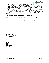

principles. A company's internal financial control over financial reporting includes those policies and procedures that (1) pertain to the maintenance of records that, in reasonable detail, accurately and fairly reflect the transactions and dispositions of the assets of the company; (2) provide reasonable assurance that transactions are recorded as necessary to permit preparation of financial statements in accordance with generally accepted accounting principles, and that receipts and expenditures of the company are being made only in accordance with authorizations of management and directors of the company; and (3) provide reasonable assurance regarding prevention or timely detection of unauthorized acquisition, use, or disposition of the company's assets that could have a material effect on the financial statements.

# **Inherent Limitations of Internal Financial Controls over Financial Reporting**

Because of the inherent limitations of internal financial controls over financial reporting, including the possibility of collusion or improper management override of controls, material misstatements due to error or fraud may occur and not be detected. Also, projections of any evaluation of the internal financial controls over financial reporting to future periods are subject to the risk that the internal financial control over financial reporting may become inadequate because of changes in conditions, or that the degree of compliance with the policies or procedures may deteriorate.

# **Opinion**

In our opinion, the Company has, in all material respects, an adequate internal financial controls system over financial reporting and such internal financial controls over financial reporting were operating effectively as at March 31, 2019, based on the internal control over financial reporting criteria established by the Company considering the essential components of internal control stated in the Guidance Note on Audit of Internal Financial Controls over Financial Reporting issues by the Institute of Chartered Accountants of India.

**FOR R N K A & CO. (Chartered Accountants) Reg No. :021745N**

 **RAJESH KUMAR Partner M.No. : 506726 Date: 25/09/2019 Place: Delhi**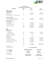

# **SBC EXPORTS LIMITED BALANCE SHEET AS AT 31st MARCH 2019**

| <b>PARTICULARS</b>                        | <b>NOTE</b><br>No. | As at<br>31-Mar-19             | As at<br>31-Mar-18   |
|-------------------------------------------|--------------------|--------------------------------|----------------------|
| <b>EQUITY &amp; LIABILITIES</b>           |                    |                                |                      |
| <b>Shareholders' Funds</b>                |                    |                                |                      |
| - Share Capital                           | $\mathbf{2}$       | 76,000,000.00                  | 1,000,000.00         |
| - Reserves & Surplus                      | 3                  | 52,007,805.00                  | 13,758,214.00        |
| Share application money pending allotment |                    |                                |                      |
| <b>Non-Current Liabilities</b>            |                    |                                |                      |
| a) Long Term Borrowings - Secured         | 4                  | 3,467,509.00                   | 4,963,423.00         |
| b) Long Term Borrowings - Unsecured       | 5                  | 22,601,839.00                  | 23,237,298.00        |
| Deferred Tax Liabilities (Net)            |                    |                                |                      |
| <b>Current Liabilities</b>                |                    |                                |                      |
| a) Short-Term Borrowing                   | 6                  | 9,093,488.00                   |                      |
| b) Trade Payables                         | 7                  | 175,581,163.00                 | 139, 134, 917.00     |
| c) Other Current Liabilities              | 8                  | 23,579,502.00                  | 2,578,092.00         |
| d) Short-Term Provisions                  | 9                  | 5,443,378.00                   | 5,227,326.00         |
|                                           | Total              | 367,774,684.00                 | 189,899,270.00       |
| <b>ASSETS</b>                             |                    |                                |                      |
| <b>Non-Current Assets</b>                 |                    |                                |                      |
| a) Fixed Assets                           |                    |                                |                      |
| i) Tangible Assets                        | 10                 | 34,858,816.00                  | 11,448,939.00        |
| b) Deferred Tax Assets (Net)              | 11                 | 901, 929.00                    | 642,873.00           |
| c) Other Non-Current Assets               |                    |                                |                      |
| d) Non Current Investment                 | $12 \,$            | 100,000.00                     |                      |
| <b>Current Assets</b>                     |                    |                                |                      |
| a) Inventories                            | 13                 | 79,785,280.00                  | 74,862,019.00        |
| b) Trade Receivables                      | 14                 | 171,888,127.00                 | 74,400,527.00        |
| c) Cash and cash Equivalents              | 15                 | 12,731,408.00                  | 12,771,696.00        |
| d) Short-Term Loans and Advances          | 16                 | 54,484,965.00                  | 15,773,216.00        |
| e) Other Current Assets                   | 17                 | 13,024,159.00                  |                      |
|                                           | Total              | 367,774,684.00                 | 189,899,270.00       |
| For RNKA&Co.                              |                    |                                |                      |
| <b>Chartered Accountants</b>              |                    | <b>For SBC EXPORTS LIMITED</b> |                      |
| <b>CA. RAJESH KUMAR</b>                   |                    | DHEERENDRA KUMAR GUPTA         | <b>DEEPIKA GUPTA</b> |
| <b>PARTNER</b>                            |                    | <b>Director</b>                | <b>Director</b>      |
| M No. 506726                              |                    | DIN 03321016                   | DIN 03319765         |

Place: New Delhi

Date : 25/09/2019 **HARIOM SHARMA MUKESH BHATT Company Secretary Chief Financial Officer**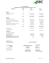

# **SBC EXPORTS LIMITED STATEMENT OF PROFIT AND LOSS FOR THE YEAR ENDED MARCH 31, 2019**

| <b>PARTICULARS</b>                         | <b>NOTE</b> | As at            | As at             |
|--------------------------------------------|-------------|------------------|-------------------|
|                                            | No.         | 31-Mar-19        | 31-Mar-18         |
| <b>INCOME</b>                              |             |                  |                   |
| Revenue from Operations                    | 18          | 800,010,363.00   | 639,945,469.00    |
| Other Income                               | 19          | 4,137,463.00     | 2,150,351.00      |
|                                            |             |                  |                   |
|                                            | Total       | 804, 147, 826.00 | 642,095,820.00    |
| <b>EXPENSES</b>                            |             |                  |                   |
| Purchases of Stock In Trade                | 20          | 715,443,710.00   | 639,521,196.00    |
| Changes in Inventory of Raw Goods          | 21          | (4,923,261.00)   | (41, 544, 115.00) |
| Payments to and Provision for Employees    | 22          | 35,277,027.00    | 16,905,929.00     |
| <b>Financial Costs</b>                     | 23          | 6,889,145.00     | 3,786,838.00      |
| Depreciation and Amortization Expenses     |             | 3,746,359.00     | 1,638,651.00      |
| Establishment & Other Expenses             | 24          | 29,180,933.00    | 9,077,648.00      |
|                                            | Total       | 785,613,913.00   | 629,386,147.00    |
| Profit before Tax                          |             | 18,533,913.00    | 12,709,673.00     |
| Provision for Taxation                     |             |                  |                   |
| <b>Current Tax</b>                         |             | 5,443,378.00     | 4,425,377.00      |
| <b>Deferred Tax</b>                        |             |                  |                   |
| Less: Deferred Tax Liability               |             |                  |                   |
| Add: Deffered Tax Assets                   |             | 259,056.00       | 168,152.00        |
| <b>Profit for the Period</b>               |             | 13,349,591.00    | 8,452,448.00      |
| Basic Earning Per Share of Rs. 10/- each   |             | 3.44             | 84.52             |
| Diluted Earning Per Share of Rs. 10/- each |             | 3.44             | 84.52             |

 **For R N K A & Co. Chartered Accountants For SBC EXPORTS LIMITED** 

| <b>CA. RAJESH KUMAR</b> | <b>DHEERENDRA KUMAR GUPTA</b> | <b>DEEPIKA GUPTA</b>           |
|-------------------------|-------------------------------|--------------------------------|
| <b>PARTNER</b>          | <b>Director</b>               | <b>Director</b>                |
| M No. 506726            | DIN 01632764                  | DIN 03319765                   |
| Place: New Delhi        |                               |                                |
| Date :25/09/2019        | <b>HARIOM SHARMA</b>          | <b>MUKESH BHATT</b>            |
|                         | <b>Company Secretary</b>      | <b>Chief Financial Officer</b> |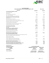

| <b>SBC EXPORTS LIMITED</b><br>CASH FLOW STATEMENT FOR THE YEAR ENDED MARCH 31, 2019<br>(Rs. In Lacs) |            |          |  |
|------------------------------------------------------------------------------------------------------|------------|----------|--|
| <b>Particulars</b>                                                                                   | 31.03.2019 | 31.03.18 |  |
| <b>CASH FLOW FROM OPERATING ACTIVITIES</b>                                                           |            |          |  |
| Net profit before taxes                                                                              | 185.34     | 127.09   |  |
| Adjustment for:                                                                                      |            |          |  |
| Add: Depreciation & Amortisatons                                                                     | 37.46      | 16.38    |  |
| Add: Financial Expenses                                                                              | 68.89      | 37.87    |  |
| Add / (Less): Loss / (Profit) on Sale of Fixed Assets                                                |            |          |  |
| <b>Operating Profit before Working capital changes</b>                                               | 291.69     | 181.34   |  |
| Adjustments for:                                                                                     |            |          |  |
| Decrease (Increase) in Inventories                                                                   | (49.23)    | (415.44) |  |
| Decrease (Increase) in Trade & Other Receivables                                                     | (974.88)   | (340.07) |  |
| Decrease (Increase) in Short Term Loans & Advances (Excl. Taxes)                                     | (387.12)   | (37.16)  |  |
| Decrease (Increase) in Other Current Assets                                                          | (130.24)   | (25.18)  |  |
| Increase (Decrease) in Trade Payables                                                                | 364.46     | 659.50   |  |
| Increase (Decrease) in Short Term Provisions (Excl. Taxes)                                           | 2.16       | 33.75    |  |
| Increase (Decrease) in Other Current Liabilities                                                     | 210.01     | 24.71    |  |
| Net Changes in Working Capital                                                                       | (964.84)   | (99.89)  |  |
| <b>Cash Generated from Operations</b>                                                                | (673.15)   | 81.45    |  |
| Less: Taxes                                                                                          | 54.43      | 44.25    |  |
| Net Cash Flow from Operating Activities (A)                                                          | (727.58)   | 37.20    |  |
| <b>CASH FLOW FROM INVESTING ACTIVITIES</b>                                                           |            |          |  |
| Sale /(Purchase) of Fixed Assets and CWIP                                                            | (271.56)   | (85.41)  |  |
| Decrease (Increase) in Non Current Assets                                                            |            |          |  |
| Decrease (Increase) in Investments                                                                   | (1.00)     |          |  |
| Net Cash Flow from Investing Activities (B)                                                          | (272.56)   | (85.41)  |  |
| <b>CASH FLOW FROM FINANCING ACTIVITIES</b>                                                           |            |          |  |
| Issue of share capital and Proceeds / (Refund) from Share Application Money                          | 750.00     |          |  |
| Directly infuse additional capital in general reserve                                                | 249.00     |          |  |
| Interest & Finance Charges                                                                           | (68.89)    | (37.87)  |  |
| Preliminary Expenses Incurred                                                                        |            |          |  |
| Increase / (Repayment) of Long Term Borrowings                                                       | (21.31)    | 180.95   |  |
| Increase / (Repayment) of Short Term Borrowings                                                      | 90.93      | (15.05)  |  |
| Decrease (Increase) in Long Term Loans & Advances                                                    |            |          |  |
| Net Cash Flow from Financing Activities (C)                                                          | 999.73     | 128.03   |  |
| Net Increase / (Decrease) in Cash & Cash Equivalents                                                 | (0.41)     | 79.82    |  |
| Cash and cash equivalents at the beginning of the year / Period                                      | 127.72     | 47.90    |  |
| Cash and cash equivalents at the end of the year/ Period                                             | 127.31     | 127.72   |  |

| For R N K A & Co.            |                                |                                |  |
|------------------------------|--------------------------------|--------------------------------|--|
| <b>Chartered Accountants</b> | <b>For SBC EXPORTS LIMITED</b> |                                |  |
| <b>CA. RAJESH KUMAR</b>      | <b>DHEERENDRA KUMAR GUPTA</b>  | <b>DEEPIKA GUPTA</b>           |  |
| <b>PARTNER</b>               | <b>Director</b>                | <b>Director</b>                |  |
| M No. 506726                 | <b>DIN 01632764</b>            | DIN 03319765                   |  |
| Place: New Delhi             |                                |                                |  |
| Date :25/09/2019             | <b>HARIOM SHARMA</b>           | <b>MUKESH BHATT</b>            |  |
|                              | <b>Company Secretary</b>       | <b>Chief Financial Officer</b> |  |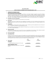

#### **NOTES TO FINANCIAL STATEMENTS FOR THE YEAR ENDED MARCH 31, 2019**

# **1 SIGNIFICANT ACCOUNTING POLICIES :**

# 1.1 **Basis Of Preparation Of Financial Statement**

The financial statements are prepared in accordance with Indian Generally Accepted Accounting Principles ("GAAP") under the historical cost convention on the accrual basis. GAAP comprises mandatory accounting standards as specified under Section 133 of the Companies Act 2013 read with Rule 7 of the Companies (Accounts) Rules, 2014. The Financial Statements has been prepared on the accrual basis and under the historical cost convention. The Management evaluates all recently issued or revised accounting standards on an on-going basis.

# **1.2 Recognition Of Income & Expenditure :**

All revenues, income & expenses are accounted for on accrual basis.

# **1.3 Fixed Assets :**

Expenditure, which are of capital nature, are capitalised at acquisition cost, which comprises purchase prise (net of rebates and discount), levies and any directly attributable cost of brining the assets to its working condition for the intended use.

# **1.4 Depreciation :**

a) Depreciation on Fixed Assets has been provided on W.D.V. Method as per the classification and on the basis of rates prescribed in Schedule II to the Companies Act, 2013.

b) Depreciation on Fixed Assets added /disposed off during the year, is provided on pro-rata basis with reference to the month of additional/Disposal.

#### **1.5 Employees Benefits :**

The provisions of provident Fund Act and ESI Act are not applicable to the Company. Other retirement benefits payable to employees are being provided as and when the payment for the same is made.

#### **1.6 Revenue Recongition :**

## **1.7 Accounting For Tax:-**

Provision for Current Income Tax is made on the taxable income using the applicable tax rates and tax laws. Deferred tax arising on account of timing differences and which are capable of reversal in one or more subsequent periods, is recognised using the tax rates and tax laws that have been enacted or substantively enacted. Deferred Tax assets are recognised as there is sufficient assurance with respect to future taxable income.

|   |                                                                                                              | As at           | As at        |
|---|--------------------------------------------------------------------------------------------------------------|-----------------|--------------|
| 2 | <b>Share Capital</b>                                                                                         | 31-Mar-19       | 31-Mar-18    |
|   | <b>AUTHORISED</b>                                                                                            |                 |              |
|   | 1,11,00,000/100,000 Equity Shares of Rs. 10/- each                                                           | 1,11,000,000.00 | 1,000,000.00 |
|   | <b>ISSUED, SUBSCRIBED &amp; PAID UP</b><br>76,00,000/100,000 Equity Shares of Rs. 10/- each fully<br>paid up | 76,000,000.00   | 1,000,000.00 |
|   |                                                                                                              |                 |              |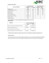

#### **a) Details of Shareholders :**

|                           | As at 31 March 2019  |              | As at 31 March 2018      |                    |
|---------------------------|----------------------|--------------|--------------------------|--------------------|
| Name of Shareholder       | No. of Share<br>held | % of Holding | No. of Shares<br>held    | $\%$ of<br>Holding |
| DEEPIKA GUPTA             | 3,130,000            | 41.19        | 30,000                   | 30.00              |
| DHEERENDRA KUMAR GUPTA    | 2,525,000            | 33.22        | 25,000                   | 25.00              |
| <b>GOVINDJI GUPTA</b>     | 404,000              | 5.32         | 4,000                    | 4.00               |
| <b>SARIKA GUPTA</b>       | 25,000               | 0.33         | 25,000                   | 25.00              |
| PRAVEEN VERMA             | 5,500                | 0.07         | 5,500                    | 5.50               |
| AMIT KUMAR AGARWAL        | 505,500              | 6.65         | 5,500                    | 5.50               |
| SBC FINMART LTD (CAPITAL) | 1,000,000.00         | 13.16        | $\overline{\phantom{0}}$ |                    |
| <b>GAURAV GUPTA</b>       | 2.500                | 0.03         | $\overline{\phantom{0}}$ |                    |
| SUDESHWAR GUPTA           | 2,500                | 0.03         | $\overline{\phantom{0}}$ |                    |

#### **b) Reconciliation of no. of shares outstanding at the beginning and at the end of the reporting period :**

| <b>Particulars</b>                              |               | As at 31 December 2019 |  |
|-------------------------------------------------|---------------|------------------------|--|
|                                                 | <b>Number</b> | Amount                 |  |
| Shares outstanding at the beginning of the year | 100.000       | 1,000,000.00           |  |
| Shares issued during the year                   | 7,500,000     | 75,000,000.00          |  |
| Shares bought back during the year              |               |                        |  |
| Shares outstanding as on 31st December 2018     | 7,600,000     | 76,000,000.00          |  |

#### **c) Details of shares brought back during the period of five years immediately preceding the reporting date : NIL**

### **d) Other Disclosures :**

The company has only one class of share capital having per value of Rs. 10/- per share. Each shareholder is eligible for one vote per share held. In the event of Liquidation, the holders of equity shares will be entitled to receive any of the remaining assets of the company, after distribution of all preferential amounts, in proportion to their shareholding.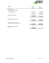

|    | <b>Particulars</b>                                                             | As at         | As at         |
|----|--------------------------------------------------------------------------------|---------------|---------------|
|    |                                                                                | 31-Mar-19     | 31-Mar-18     |
| 3. | <b>Reserve &amp; Surplus</b>                                                   |               |               |
|    | a) Profit & Loss Account Balance                                               |               |               |
|    | Opening Balance                                                                | 13,758,214.00 | 5,305,766.00  |
|    | Add: Profit for the year                                                       | 13,349,591.00 | 8,452,448.00  |
|    |                                                                                | 27,107,805.00 | 13,758,214.00 |
|    | b) Share Premium Account                                                       | 24,900,000.00 |               |
|    |                                                                                | 52,007,805.00 | 13,758,214.00 |
|    |                                                                                |               |               |
| 4. | Long Term Borrowings - Secured                                                 | 3,467,509.00  | 4,963,423.00  |
|    |                                                                                | 3,467,509.00  | 4,963,423.00  |
|    |                                                                                |               |               |
| 5. | Long Term Borrowings - Unsecured<br>Unsecured Loan From Financial Institutions | 22,601,839.00 | 23,237,298.00 |
|    |                                                                                | 22,601,839.00 | 23,237,298.00 |
| 6  | <b>Short Term Borrowings- Secured</b>                                          |               |               |
|    | <b>Bank OD</b>                                                                 | 9,093,488.00  |               |
|    |                                                                                | 9,093,488.00  |               |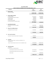

|     | <b>Particulars</b>                                                                   | As at          | As at            |
|-----|--------------------------------------------------------------------------------------|----------------|------------------|
|     |                                                                                      | 31-Mar-19      | 31-Mar-18        |
| 7   | <b>TRADE PAYABLE</b>                                                                 |                |                  |
|     | a) Sundry Creditors                                                                  | 175,581,163.00 | 139, 134, 917.00 |
|     |                                                                                      | 175,581,163.00 | 139,134,917.00   |
| 8   | <b>OTHER CURRENT LIABLITIES</b>                                                      |                |                  |
|     | a) Salary Payable                                                                    | 3,919,261.00   | 2,064,258.00     |
|     | b) Auditors Remuneration Payable                                                     | 225,000.00     | 250,000.00       |
|     | c) Rent Payable                                                                      | 100,904.00     | 263,834.00       |
|     | d) TDS Payable                                                                       | 1,296,291.00   |                  |
|     | f) Credit Card Payable                                                               | 23,359.00      |                  |
|     | e) Current Maturity of Long Term Debt                                                | 18,014,687.00  |                  |
|     |                                                                                      | 23,579,502.00  | 2,578,092.00     |
|     |                                                                                      |                |                  |
| 9   | <b>SHORT TERM PROVISIONS</b><br>a) Provision for Income tax Liability                | 5,443,378.00   | 4,425,377.00     |
|     | b) Others                                                                            |                | 801,949.00       |
|     |                                                                                      | 5,443,378.00   | 5,227,326.00     |
| 11  | <b>Deferred Tax Liabilities/(Assets)</b>                                             |                |                  |
|     | a) Deferred Income Tax Assets                                                        | 901, 929.00    | 642,873.00       |
|     |                                                                                      | 901,929.00     | 642,873.00       |
| 12. | <b>Non Current Investment</b>                                                        |                |                  |
|     |                                                                                      |                |                  |
|     | Investment in Equity Shares (Indian Companies)                                       | 100,000.00     |                  |
|     |                                                                                      | 100,000.00     |                  |
| 13. | Inventories<br>(As per inventories taken, valued and certified by the<br>management) |                |                  |
|     | - Stock in Trade (Valued at lower of cost or realisable value)                       | 79,785,280.00  | 74,862,019.00    |
|     |                                                                                      | 79,785,280.00  | 74,862,019.00    |
|     |                                                                                      |                |                  |
|     | <b>Trade Receivables</b>                                                             |                |                  |
|     |                                                                                      |                |                  |
|     | a) Secured<br>b) Unsecured (Considered good)                                         |                |                  |
|     | - Outstanding for period Less than six months                                        | 58,139,256.00  | 71,919,829.00    |
| 14. | - Outstanding for period more than six months                                        | 113,748,871.00 |                  |
|     | - Other Debts                                                                        |                | 2,480,698.00     |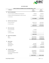

|     | NOTES TO FINANCIAL STATEMENTS FOR THE YEAR ENDED MARCH 31, 2019 |                |                  |  |  |  |  |
|-----|-----------------------------------------------------------------|----------------|------------------|--|--|--|--|
|     | <b>Particulars</b>                                              | As at          | As at            |  |  |  |  |
|     |                                                                 | 31-Mar-19      | 31-Mar-18        |  |  |  |  |
| 15. | <b>Cash &amp; Cash Equivalents</b>                              |                |                  |  |  |  |  |
|     | a) Cash on hand (As Certified by the Management)                | 90,509.00      | 218,996.00       |  |  |  |  |
|     | b) Balance With the Scheduled Bank in current accounts:         | 12,640,899.00  | 10,565,911.00    |  |  |  |  |
|     | c) Travel Card                                                  |                | 1,986,789.00     |  |  |  |  |
|     |                                                                 | 12,731,408.00  | 12,771,696.00    |  |  |  |  |
| 16. | <b>Short Term Loans &amp; Advances</b>                          |                |                  |  |  |  |  |
|     | a) Loan & Advances                                              | 47,897,671.00  | 6,939,752.00     |  |  |  |  |
|     | b) Tds Receivable                                               | 6,587,294.00   | 8,833,464.00     |  |  |  |  |
|     |                                                                 | 54,484,965.00  | 15,773,216.00    |  |  |  |  |
| 17. | <b>Other Current Assets</b>                                     |                |                  |  |  |  |  |
|     | a) Accurued Interest                                            | 117,243.00     |                  |  |  |  |  |
|     | b) Deposits                                                     | 10,696,254.00  |                  |  |  |  |  |
|     | c) GST Receivables                                              | 2,210,662.00   |                  |  |  |  |  |
|     |                                                                 | 13,024,159.00  |                  |  |  |  |  |
| 18. | <b>Revenue From Operations</b>                                  |                |                  |  |  |  |  |
|     | Sales                                                           | 424,758,453.00 | 387,538,930.00   |  |  |  |  |
|     | Services                                                        | 375,251,910.00 | 252,406,539.00   |  |  |  |  |
|     |                                                                 | 800,010,363.00 | 639,945,469.00   |  |  |  |  |
| 19. | Other Income                                                    |                |                  |  |  |  |  |
|     | Commission                                                      |                | 12,372.00        |  |  |  |  |
|     | Discount recd                                                   | 150,150.00     | 74,374.00        |  |  |  |  |
|     | Interest Received                                               | 3,975,976.00   | 2,063,605.00     |  |  |  |  |
|     | Misc Income                                                     | 11,337.00      |                  |  |  |  |  |
|     |                                                                 | 4,137,463.00   | 2,150,351.00     |  |  |  |  |
| 20. | <b>Purchase Of Stock</b>                                        |                |                  |  |  |  |  |
|     | Purchase of Trading Items                                       | 373,966,842.00 | 393,366,199.00   |  |  |  |  |
|     | Purchase of Services                                            | 324,606,752.00 | 246, 154, 997.00 |  |  |  |  |
|     | Purchase of Packaging Materials                                 | 15,748,965.00  |                  |  |  |  |  |
|     | Consumables                                                     | 1,121,151.00   |                  |  |  |  |  |
|     |                                                                 | 715,443,710.00 | 639,521,196.00   |  |  |  |  |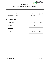

|     | <b>Particulars</b>               | As at          | As at             |  |
|-----|----------------------------------|----------------|-------------------|--|
|     |                                  | 31-Mar-19      | 31-Mar-18         |  |
|     |                                  |                |                   |  |
| 21. | <b>Changes In Inventory</b>      |                |                   |  |
|     | Opening Stock of Finished Goods  | 74,862,019.00  | 33,317,904.00     |  |
|     | Closing Stock of Finished Goods  | 79,785,280.00  | 74,862,019.00     |  |
|     |                                  | (4,923,261.00) | (41, 544, 115.00) |  |
| 22. | <b>Employee Benefit Expenses</b> |                |                   |  |
|     | Director's Remuneration          | 3,211,622.00   | 2,988,000.00      |  |
|     | Salaries including Bonus         | 30,613,720.00  | 13,034,303.00     |  |
|     | <b>Staff Welfare</b>             | 434,176.00     | 605,883.00        |  |
|     | Conveyance                       | 1,017,509.00   | 277,743.00        |  |
|     |                                  | 35,277,027.00  | 16,905,929.00     |  |
| 23. | <b>Financial Costs</b>           |                |                   |  |
|     | <b>Bank Charges</b>              | 207,099.00     | 226,920.00        |  |
|     | <b>Interest Paid</b>             | 6,682,046.00   | 3,559,918.00      |  |
|     |                                  | 6,889,145.00   | 3,786,838.00      |  |

# **NOTES TO FINANCIAL STATEMENTS FOR THE YEAR ENDED MARCH 31, 2019**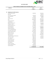

# **NOTES TO FINANCIAL STATEMENTS FOR THE YEAR ENDED MARCH 31, 2019**

|     | <b>Particulars</b>                      | As at         | As at        |
|-----|-----------------------------------------|---------------|--------------|
|     |                                         | 31-Mar-19     | 31-Mar-18    |
|     |                                         |               |              |
| 24. | <b>Establishment And Other Expenses</b> |               |              |
|     | Auditors Remuneration                   | 250,000.00    | 250,000.00   |
|     | SBC paid                                |               | 64,067.00    |
|     | Loan Processing Charges                 | 414,857.00    | 625,322.00   |
|     | <b>Festival Expenses</b>                | 36,000.00     | 117,000.00   |
|     | Freight                                 | 1,619,533.00  | 6,000.00     |
|     | Power and fuel                          | 1,194,184.00  | 568,145.00   |
|     | Rent                                    | 5,880,468.00  | 1,799,472.00 |
|     | Printing & Stationary                   | 4,500.00      | 181,000.00   |
|     | Advertisement                           | 381,625.00    | 499,890.00   |
|     | Repair & Maintenance                    | 198,075.00    | 147,613.00   |
|     | Postage & courier                       | 140,273.00    | 78,070.00    |
|     | Software maintenance                    | 169,580.00    | 54,673.00    |
|     | <b>Finishing Expenses</b>               | 1.721.747.00  | 1,183,652.00 |
|     | Security expenses                       | 180,000.00    | 180,000.00   |
|     | <b>Telephone Expenses</b>               | 665,170.00    | 429,882.00   |
|     | Tour & Travelling Expenses              | 671,849.00    | 167,331.00   |
|     | Commission Paid on Sale                 | 1,158,750.00  | 12,000.00    |
|     | Legal & Professional Exp.               | 6,261,645.00  | 135,000.00   |
|     | Rebate & Discount                       | 93,075.00     | 98,621.00    |
|     | <b>Business Promotion</b>               | 501,412.00    | 972,998.00   |
|     | Office Expenses                         | 2,210,371.00  | 1,006,033.00 |
|     | Vehicles Running & Maintenance          | 803,187.00    | 24,530.00    |
|     | Job Work charges                        | 498,261.00    | 351,866.00   |
|     | Misc. Expenses                          | 188,691.00    | 124,483.00   |
|     | Sundry Balance W/o                      | 1,365,972.00  |              |
|     | <b>Insurance Expenses</b>               | 249,052.00    |              |
|     | <b>Marketing Expenses</b>               | 423,000.00    |              |
|     | ROC Expenses                            | 1,096,180.00  |              |
|     | Charity & Donation                      | 16,200.00     |              |
|     | <b>Online Trading Expenses</b>          | 429,302.00    |              |
|     | Interest Expenses                       | 357,974.00    |              |
|     |                                         | 29,180,933.00 | 9,077,648.00 |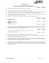

#### **NOTES TO FINANCIAL STATEMENTS FOR THE YEAR ENDED MARCH 31, 2019**

# **31-Mar-2019 31-Mar-2018 25.** Contingent Liabilities and Commitments (to the extent not provided for) NIL NIL

- **26.** There is no claim against the Company which can be acknowledged as debts.
- **27.** In the opinion of the board of directors, the "Current Assets, Loans & Advances" have a value on realization in the ordinary course of business at least equal to the amount at which they are stated in the Balance Sheet.
- **28.** The Board has certified that all the incomes accrued to the Company has been taken into consideration and belong entirely and exclusively to the business of the Company.
- **29.** Balances in the accounts of some of the parties are subject to confirmation from respective parties.

|     |                                          | 31-Mar-2019  | 31-Mar-2018  |
|-----|------------------------------------------|--------------|--------------|
| 30. | <b>Auditors Remuneration</b>             |              |              |
|     | Audit Fee                                | 250,000.00   | 250,000.00   |
| 31. | Remuneration to whole time<br>Directors: |              |              |
|     | Remuneration to Director                 | 3.211.622.00 | 2,988,000,00 |

**32.**  has accounted for Taxes on income to include the effect of timing differences in the tax expenses in the Profit & Loss In line with mandatory Accounting Standard 22 issued by the institute of Chartered Accountants of India, the Company Account and deferred tax assets/liability in the Balance sheet.

|                                                                                    | 31-Mar-2019  | 31-Mar-2018 |
|------------------------------------------------------------------------------------|--------------|-------------|
| The Deferred Tax Asset (Liability) has been created on account of following items. |              |             |
| Timing Difference in Depreciation                                                  | 1.032.505.00 | 672,606.00  |

**33.** Balance appearing under loans, sundry debtors and sundry creditors are subject to confirmation.

- **34.** There are no material prior period items , expect to the extent disclosed , included in Profit & Loss A/c required to be disclosed as per Accounting Standard -5 issued by the ICAI.
- **35.**  Accounting Standards -28 "Impairment Of Assets" issued by the ICAI. As on March 31, 2019. There was no event or Fixed Assets possessed by the company are treated as 'Corporate Assts ' and not 'Cash Generating Units' as defined by changes in circumstance which indicate any impairment in the assets.

**36.**  There are no Micro and Small Enterprises, to whom the company owes dues, which are outstanding for more than 45 days as at March 31, 2019. This information as required to disclosed under the Micro, Small and Medium Enterprises Development Act, 2006 has been determined to the extent such parties have identified on the basis of information available with company.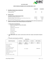

## **NOTES TO FINANCIAL STATEMENTS FOR THE YEAR ENDED MARCH 31, 2019**

|     |                                                                      | 31-Mar-2019 | 31-Mar-2018 |
|-----|----------------------------------------------------------------------|-------------|-------------|
| 37. | <b>Expenditure in Foreign Currency: (amount in Rs.)</b>              |             |             |
|     | Import of Trading Goods                                              | <b>NIL</b>  | <b>NIL</b>  |
|     | <b>Travelling Expenses</b>                                           | NIL         | <b>NIL</b>  |
| 38. | Earning per share                                                    |             |             |
|     | <b>Computation for Basis &amp; Diluted Earning per Share</b>         |             |             |
|     | Net Profit as per Profit & Loss Account                              | 13.349.591  | 84.52.448   |
|     | Weighted average number of equity shares outstanding during the year | 38,80,822   | 00.000.1    |
|     | Basis & Diluted Earnings per Share (in Rs.)                          | 3.44        | 84.52       |
|     |                                                                      |             |             |

**39. Disclosures in respect of Related Parties as defined in Accounting Standard (AS) 18, with whom transaction were carried out in the ordinary course of business during the year as given blow :** 

### **A. Related parties & their Relationship**

- **i. Directors, Key Management Persons & their relative** 
	- DEEPIKA GUPTA
	- DHEERENDRA KUMAR GUPTA
	- AKSHAT GUPTA
	- VINOD KUMAR
	- MANUPRIYA MISHRA
	- AMIT JAISWAL
	- MANISH GUPTA
- **ii. Other related parties where common control exists and with whom company had transaction during the year.**

**B. Transactions made during the year 2018-2019** 

## **Amount in Rs.**

| <b>Detail Of Transaction</b>     | <b>Associates</b> | <b>KMPI &amp; Relatives</b> | <b>Associates</b> | <b>KMP &amp; Relatives</b> |
|----------------------------------|-------------------|-----------------------------|-------------------|----------------------------|
|                                  | 2018-19           | 2018-19                     | 2017-18           | 2017-18                    |
| Equity Contribution              | 10,000,000.00     | 89,900,000.00               |                   |                            |
| Loans Taken                      |                   |                             |                   |                            |
| Loans Repaid                     |                   |                             |                   |                            |
| Loans & advances Given           |                   |                             |                   |                            |
| Director Remuneration            |                   | 3,211,622.00                |                   | 2,988,000.00               |
| Assets Sold                      |                   |                             |                   |                            |
| Interest received on Loans given |                   |                             |                   |                            |
| interest paid on Loans           |                   |                             |                   |                            |
| Rent Paid                        |                   |                             |                   |                            |
| Purchase of Stock In Trade       |                   |                             |                   |                            |
|                                  |                   |                             |                   |                            |

NIL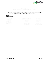

#### **NOTES TO FINANCIAL STATEMENTS FOR THE YEAR ENDED MARCH 31, 2019**

**40.** Previous year figures have been re-grouped/ re-arranged wherever necessary to conform to current year presentation in terms of revised schedule VI issued by Ministry of Corporate Affairs.

**For R N K A & Co. For SBC EXPORTS LIMITED Chartered Accountants** 

Place: New Delhi

**CA. RAJESH KUMAR DHEERENDRA KUMAR GUPTA DEEPIKA GUPTA PARTNER** Director Director **Director** Director **Director M No. 506726 DIN 03321016 DIN 03319765** 

Date : 25/09/2019 **HARIOM SHARMA MUKESH BHATT** 

**Company Secretary Chief Financial Officer**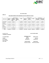

## **NOTES- 10**

# **FIXED ASSETS SCHEDULE AS PER COMPANIES ACT,2013 FOR ENDED ON 31.03.2019**

|                                   |                           | <b>GROSS BLOCK</b>                     |                                    |              |                           | <b>DEPRECIATION</b> |              |                                | <b>NET BLOCK</b>               |
|-----------------------------------|---------------------------|----------------------------------------|------------------------------------|--------------|---------------------------|---------------------|--------------|--------------------------------|--------------------------------|
| <b>PARTICULARS</b>                | Opening<br><b>Balance</b> | <b>Additions</b><br>During the<br>year | <b>Dispose</b><br>off/Delet<br>ion | <b>TOTAL</b> | Opening<br><b>Balance</b> | During<br>the Year  | <b>TOTAL</b> | <b>WDV AS ON</b><br>31/03/2019 | <b>WDV AS ON</b><br>31/03/2018 |
| <b>COMPUTERS</b>                  | .776.156                  | 992,693                                | $\qquad \qquad \blacksquare$       | 2,768,849    | 1,583,301                 | 454,193             | 2.037.494    | 731.355                        | 192.855                        |
| <b>FURNITURE</b>                  | 1,679,665                 | 205,400                                | $\overline{\phantom{0}}$           | .885.065     | 726,222                   | 266,054             | 992,276      | 892.789                        | 953,443                        |
| PLANT &<br><b>MACHINERY</b>       | 4,418,053                 | 5,905,297                              |                                    | 10,323,350   | 1,690,927                 | 1,114,554           | 2,805,481    | 7.517.869                      | 2,727,126                      |
| CAR                               | 6,635,800                 | 2,102,205                              |                                    | 8,738,005    | 82,282                    | ,386,692            | .468.974     | 7,269,031                      | 6,553,518                      |
| <b>OFFICE</b><br><b>EQUIPMENT</b> | 2.016.347                 | 273,881                                |                                    | 2.290.228    | 994,350                   | 524,866             | .519.216     | 771.012                        | 1,021,997                      |
| Land(Plot)                        |                           | 17.676.760                             |                                    | 17,676,760   |                           |                     |              | 17,676,760                     |                                |
| <b>TOTAL</b>                      | 16,526,021                | 27,156,236                             | $\blacksquare$                     | 43,682,257   | 5,077,082                 | 3,746,359           | 8,823,441    | 34,858,816                     | 11,448,939                     |

**For R N K A & CO. For SBC EXPORTS LIMITED CHARTERED ACCOUNTANTS**

| <b>CA. RAJESH KUMAR</b> | <b>DHEERENDRA KUMAR</b><br><b>GUPTA</b> | <b>DEEPIKA GUPTA</b>           |  |
|-------------------------|-----------------------------------------|--------------------------------|--|
| <b>PARTNER</b>          | <b>DIRECTOR</b>                         | <b>DIRECTOR</b>                |  |
| M. No: 506726           | DIN 03321016                            | DIN 03319765                   |  |
| Date: 25/09/2019        |                                         |                                |  |
| Place: Delhi            | <b>HARIOM SHARMA</b>                    | <b>MUKESH BHATT</b>            |  |
|                         | <b>Company Secretary</b>                | <b>Chief Financial Officer</b> |  |